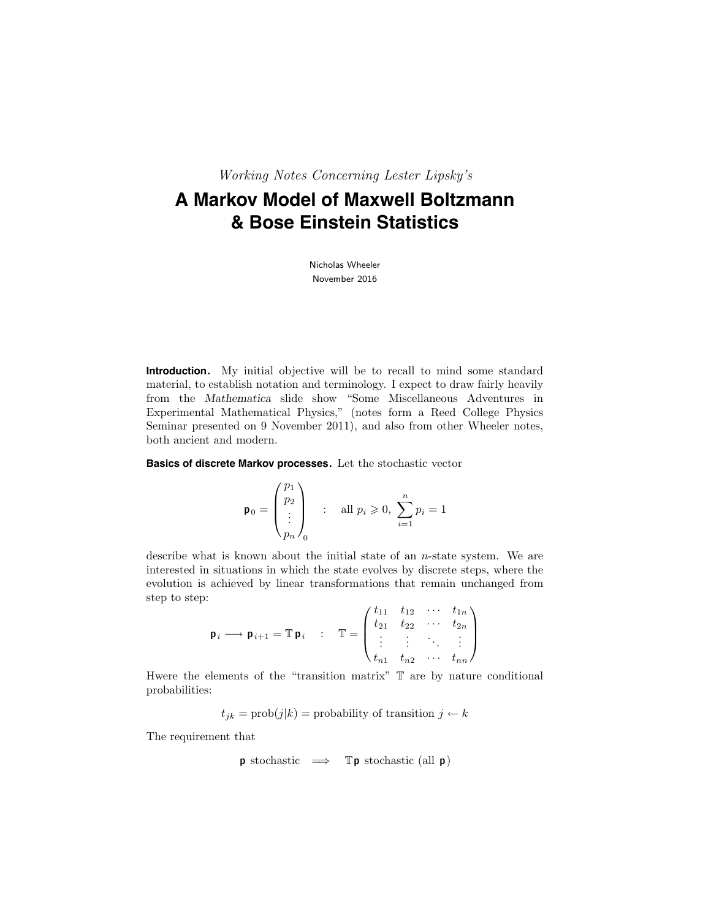Working Notes Concerning Lester Lipsky's

# **A Markov Model of Maxwell Boltzmann & Bose Einstein Statistics**

Nicholas Wheeler November 2016

**Introduction.** My initial objective will be to recall to mind some standard material, to establish notation and terminology. I expect to draw fairly heavily from the Mathematica slide show "Some Miscellaneous Adventures in Experimental Mathematical Physics," (notes form a Reed College Physics Seminar presented on 9 November 2011), and also from other Wheeler notes, both ancient and modern.

**Basics of discrete Markov processes.** Let the stochastic vector

$$
\mathbf{p}_0 = \begin{pmatrix} p_1 \\ p_2 \\ \vdots \\ p_n \end{pmatrix} \quad : \quad \text{all } p_i \geqslant 0, \ \sum_{i=1}^n p_i = 1
$$

describe what is known about the initial state of an n-state system. We are interested in situations in which the state evolves by discrete steps, where the evolution is achieved by linear transformations that remain unchanged from step to step:  $\mathcal{L}(\mathbf{r})$ 

$$
\mathbf{p}_i \longrightarrow \mathbf{p}_{i+1} = \mathbb{T} \mathbf{p}_i \quad : \quad \mathbb{T} = \begin{pmatrix} t_{11} & t_{12} & \cdots & t_{1n} \\ t_{21} & t_{22} & \cdots & t_{2n} \\ \vdots & \vdots & \ddots & \vdots \\ t_{n1} & t_{n2} & \cdots & t_{nn} \end{pmatrix}
$$

Hwere the elements of the "transition matrix" T are by nature conditional probabilities:

 $t_{jk} = \text{prob}(j|k) = \text{probability of transition } j \leftarrow k$ 

The requirement that

$$
\mathbf{p} \text{ stochastic} \implies \mathbb{T} \mathbf{p} \text{ stochastic (all } \mathbf{p})
$$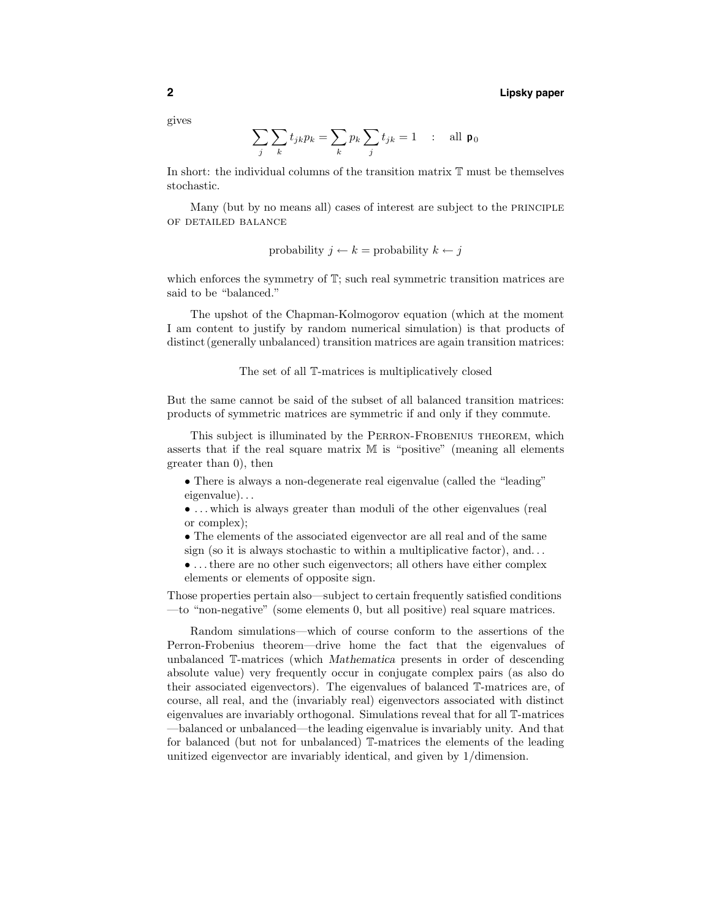gives

$$
\sum_{j} \sum_{k} t_{jk} p_k = \sum_{k} p_k \sum_{j} t_{jk} = 1 \quad : \quad \text{all } \mathbf{p}_0
$$

In short: the individual columns of the transition matrix T must be themselves stochastic.

Many (but by no means all) cases of interest are subject to the PRINCIPLE of detailed balance

probability 
$$
j \leftarrow k
$$
 = probability  $k \leftarrow j$ 

which enforces the symmetry of  $\mathbb{T}$ ; such real symmetric transition matrices are said to be "balanced."

The upshot of the Chapman-Kolmogorov equation (which at the moment I am content to justify by random numerical simulation) is that products of distinct (generally unbalanced) transition matrices are again transition matrices:

#### The set of all T-matrices is multiplicatively closed

But the same cannot be said of the subset of all balanced transition matrices: products of symmetric matrices are symmetric if and only if they commute.

This subject is illuminated by the Perron-Frobenius theorem, which asserts that if the real square matrix M is "positive" (meaning all elements greater than 0), then

- There is always a non-degenerate real eigenvalue (called the "leading" eigenvalue). . .
- ... which is always greater than moduli of the other eigenvalues (real or complex);
- The elements of the associated eigenvector are all real and of the same sign (so it is always stochastic to within a multiplicative factor), and...
- . . .there are no other such eigenvectors; all others have either complex

elements or elements of opposite sign.

Those properties pertain also—subject to certain frequently satisfied conditions —to "non-negative" (some elements 0, but all positive) real square matrices.

Random simulations—which of course conform to the assertions of the Perron-Frobenius theorem—drive home the fact that the eigenvalues of unbalanced T-matrices (which Mathematica presents in order of descending absolute value) very frequently occur in conjugate complex pairs (as also do their associated eigenvectors). The eigenvalues of balanced T-matrices are, of course, all real, and the (invariably real) eigenvectors associated with distinct eigenvalues are invariably orthogonal. Simulations reveal that for all T-matrices —balanced or unbalanced—the leading eigenvalue is invariably unity. And that for balanced (but not for unbalanced) T-matrices the elements of the leading unitized eigenvector are invariably identical, and given by 1/dimension.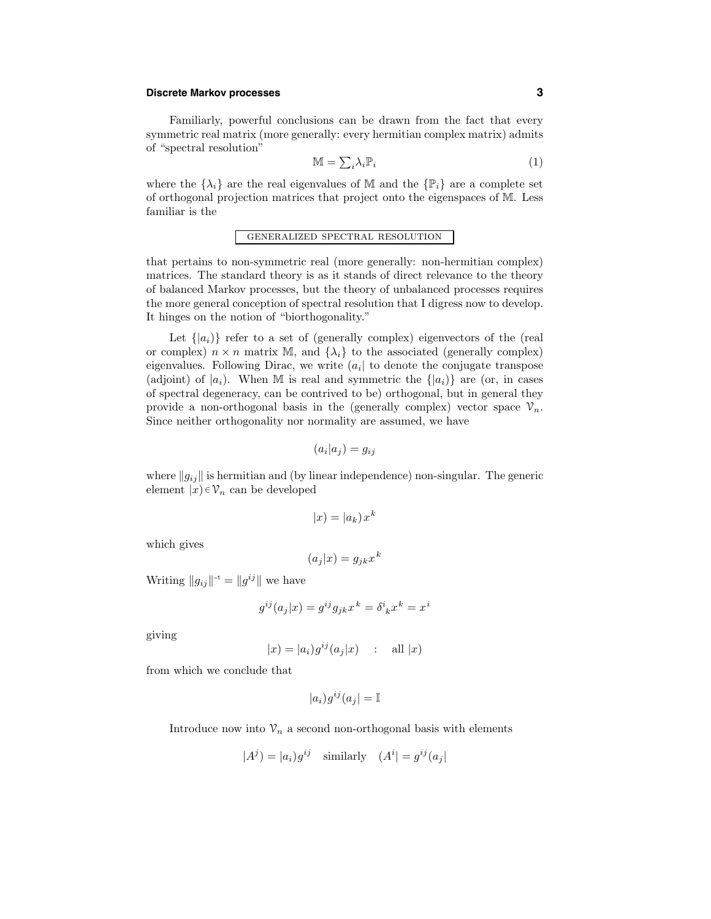## **Discrete Markov processes 3**

Familiarly, powerful conclusions can be drawn from the fact that every symmetric real matrix (more generally: every hermitian complex matrix) admits of "spectral resolution"

$$
\mathbb{M} = \sum_{i} \lambda_i \mathbb{P}_i \tag{1}
$$

where the  $\{\lambda_i\}$  are the real eigenvalues of M and the  $\{\mathbb{P}_i\}$  are a complete set of orthogonal projection matrices that project onto the eigenspaces of M. Less familiar is the

# generalized spectral resolution

that pertains to non-symmetric real (more generally: non-hermitian complex) matrices. The standard theory is as it stands of direct relevance to the theory of balanced Markov processes, but the theory of unbalanced processes requires the more general conception of spectral resolution that I digress now to develop. It hinges on the notion of "biorthogonality."

Let  $\{|a_i\rangle\}$  refer to a set of (generally complex) eigenvectors of the (real or complex)  $n \times n$  matrix M, and  $\{\lambda_i\}$  to the associated (generally complex) eigenvalues. Following Dirac, we write  $(a_i)$  to denote the conjugate transpose (adjoint) of  $|a_i|$ . When M is real and symmetric the  $\{|a_i\rangle\}$  are (or, in cases of spectral degeneracy, can be contrived to be) orthogonal, but in general they provide a non-orthogonal basis in the (generally complex) vector space  $\mathcal{V}_n$ . Since neither orthogonality nor normality are assumed, we have

$$
(a_i|a_j) = g_{ij}
$$

where  $||g_{ij}||$  is hermitian and (by linear independence) non-singular. The generic element  $|x\rangle \in \mathcal{V}_n$  can be developed

$$
|x| = |a_k| x^k
$$

which gives

$$
(a_j|x) = g_{jk}x^k
$$

Writing  $||g_{ij}||^{-1} = ||g^{ij}||$  we have

$$
g^{ij}(a_j|x) = g^{ij}g_{jk}x^k = \delta^i{}_k x^k = x^i
$$

giving

$$
|x| = |a_i| g^{ij}(a_j|x) \quad : \quad \text{all } |x)
$$

from which we conclude that

$$
|a_i)g^{ij}(a_j| = \mathbb{I}
$$

Introduce now into  $\mathcal{V}_n$  a second non-orthogonal basis with elements

$$
|A^j) = |a_i|g^{ij} \quad \text{similarly} \quad (A^i| = g^{ij}(a_j)
$$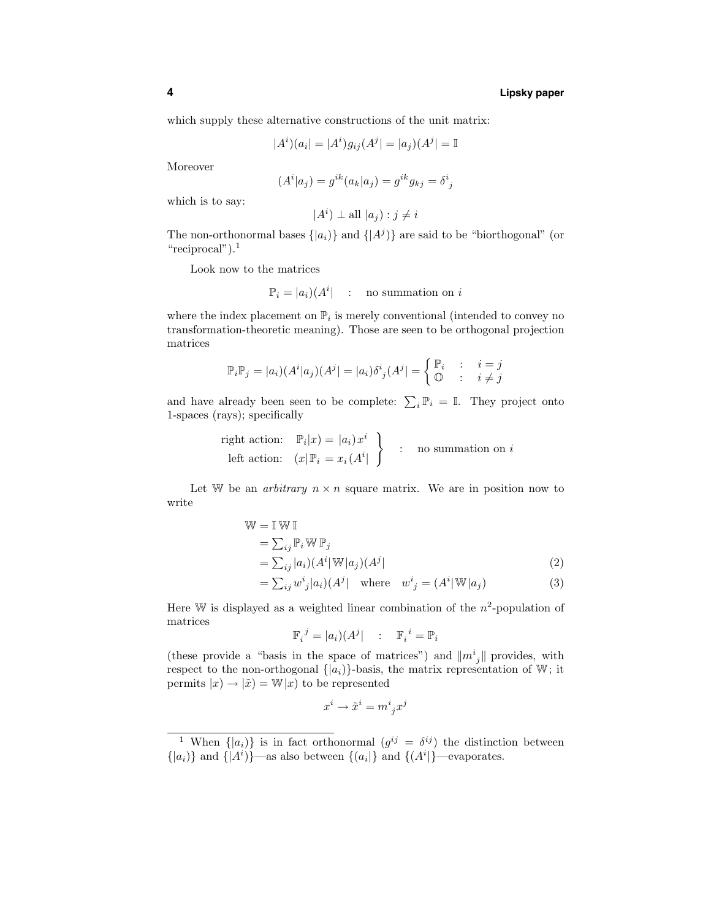which supply these alternative constructions of the unit matrix:

$$
|A^{i})(a_{i}| = |A^{i})g_{ij}(A^{j}| = |a_{j})(A^{j}| = \mathbb{I}
$$

Moreover

$$
(Ai|aj) = gik(ak|aj) = gikgkj = \deltaij
$$

which is to say:

 $|A^i\rangle \perp$  all  $|a_j\rangle$  :  $j \neq i$ 

The non-orthonormal bases  $\{|a_i\rangle\}$  and  $\{|A^j\rangle\}$  are said to be "biorthogonal" (or "reciprocal").<sup>1</sup>

Look now to the matrices

$$
\mathbb{P}_i = |a_i\rangle (A^i) \quad : \quad \text{no summation on } i
$$

where the index placement on  $\mathbb{P}_i$  is merely conventional (intended to convey no transformation-theoretic meaning). Those are seen to be orthogonal projection matrices

$$
\mathbb{P}_{i}\mathbb{P}_{j} = |a_{i})(A^{i}|a_{j})(A^{j}) = |a_{i}\rangle\delta^{i}_{j}(A^{j}) = \begin{cases} \mathbb{P}_{i} & \colon i = j \\ \mathbb{O} & \colon i \neq j \end{cases}
$$

and have already been seen to be complete:  $\sum_i \mathbb{P}_i = \mathbb{I}$ . They project onto 1-spaces (rays); specifically

right action: 
$$
\mathbb{P}_i|x) = |a_i)x^i
$$
  
left action:  $(x|\mathbb{P}_i = x_i(A^i|\begin{array}{c} 0 \end{array})$  : no summation on *i*

Let W be an *arbitrary*  $n \times n$  square matrix. We are in position now to write

$$
\mathbb{W} = \mathbb{I} \mathbb{W} \mathbb{I}
$$
  
\n
$$
= \sum_{ij} \mathbb{P}_i \mathbb{W} \mathbb{P}_j
$$
  
\n
$$
= \sum_{ij} |a_i| (A^i | \mathbb{W} | a_j) (A^j |
$$
  
\n
$$
= \sum_{ij} w^i_j |a_i| (A^j | \text{ where } w^i{}_j = (A^i | \mathbb{W} | a_j)
$$
\n(3)

Here W is displayed as a weighted linear combination of the  $n^2$ -population of matrices

$$
\mathbb{F}_i^{\ j} = |a_i\rangle(A^j| \qquad ; \quad \mathbb{F}_i^{\ i} = \mathbb{P}_i
$$

(these provide a "basis in the space of matrices") and  $||m_j||$  provides, with respect to the non-orthogonal  $\{|a_i\rangle\}$ -basis, the matrix representation of W; it permits  $|x) \rightarrow |\tilde{x}| = W|x|$  to be represented

$$
x^i\rightarrow \tilde{x}^i=m^i_{\ j}x^j
$$

<sup>&</sup>lt;sup>1</sup> When  $\{|a_i\rangle\}$  is in fact orthonormal  $(g^{ij} = \delta^{ij})$  the distinction between  $\{|a_i\rangle\}$  and  $\{|A^i\rangle\}$ —as also between  $\{(a_i|\}$  and  $\{(A^i|\}$ —evaporates.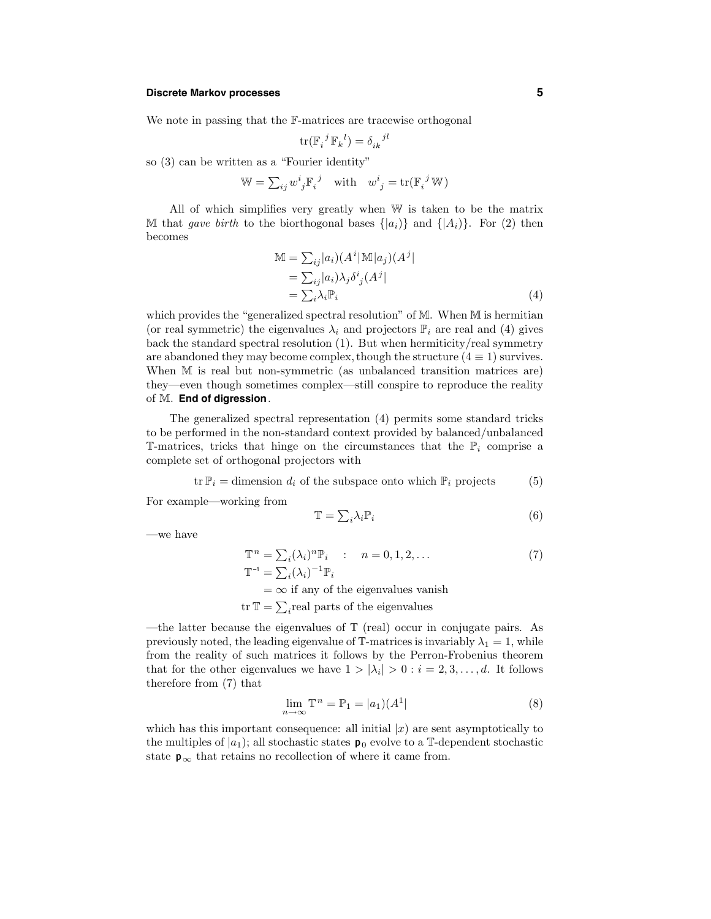## **Discrete Markov processes 5**

We note in passing that the F-matrices are tracewise orthogonal

$$
\text{tr}(\mathbb{F}_{i}^{j} \mathbb{F}_{k}^{l}) = \delta_{ik}^{j l}
$$

so (3) can be written as a "Fourier identity"

$$
\mathbb{W} = \sum_{ij} w^i{}_j \mathbb{F}_i{}^j \quad \text{with} \quad w^i{}_j = \text{tr}(\mathbb{F}_i{}^j \mathbb{W})
$$

All of which simplifies very greatly when W is taken to be the matrix M that gave birth to the biorthogonal bases  $\{|a_i\rangle\}$  and  $\{|A_i\rangle\}$ . For (2) then becomes

$$
\mathbb{M} = \sum_{ij} |a_i| (A^i | \mathbb{M} | a_j) (A^j| \n= \sum_{ij} |a_i| \lambda_j \delta^i_j (A^j| \n= \sum_i \lambda_i \mathbb{P}_i
$$
\n(4)

which provides the "generalized spectral resolution" of M. When M is hermitian (or real symmetric) the eigenvalues  $\lambda_i$  and projectors  $\mathbb{P}_i$  are real and (4) gives back the standard spectral resolution (1). But when hermiticity/real symmetry are abandoned they may become complex, though the structure  $(4 \equiv 1)$  survives. When M is real but non-symmetric (as unbalanced transition matrices are) they—even though sometimes complex—still conspire to reproduce the reality of M. **End of digression**.

The generalized spectral representation (4) permits some standard tricks to be performed in the non-standard context provided by balanced/unbalanced T-matrices, tricks that hinge on the circumstances that the  $\mathbb{P}_i$  comprise a complete set of orthogonal projectors with

$$
\text{tr } \mathbb{P}_i = \text{dimension } d_i \text{ of the subspace onto which } \mathbb{P}_i \text{ projects } (5)
$$

For example—working from

$$
\mathbb{T} = \sum_{i} \lambda_i \mathbb{P}_i \tag{6}
$$

—we have

$$
\mathbb{T}^{n} = \sum_{i} (\lambda_{i})^{n} \mathbb{P}_{i} : n = 0, 1, 2, \dots
$$
  

$$
\mathbb{T}^{-1} = \sum_{i} (\lambda_{i})^{-1} \mathbb{P}_{i}
$$
 (7)

 $=\infty$  if any of the eigenvalues vanish

tr  $\mathbb{T} = \sum_i$ real parts of the eigenvalues

—the latter because the eigenvalues of  $\mathbb T$  (real) occur in conjugate pairs. As previously noted, the leading eigenvalue of  $\mathbb{T}$ -matrices is invariably  $\lambda_1 = 1$ , while from the reality of such matrices it follows by the Perron-Frobenius theorem that for the other eigenvalues we have  $1 > |\lambda_i| > 0$ :  $i = 2, 3, ..., d$ . It follows therefore from (7) that

$$
\lim_{n \to \infty} \mathbb{T}^n = \mathbb{P}_1 = |a_1\rangle (A^1| \tag{8}
$$

which has this important consequence: all initial  $|x|$  are sent asymptotically to the multiples of  $|a_1\rangle$ ; all stochastic states  $\mathbf{p}_0$  evolve to a T-dependent stochastic state  $p_{\infty}$  that retains no recollection of where it came from.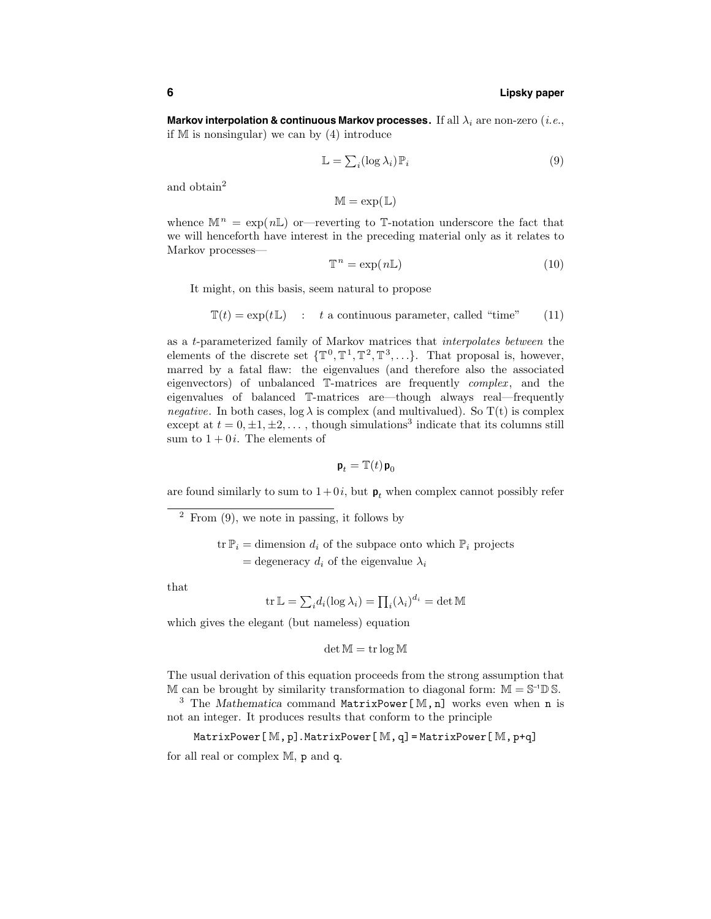## **6 Lipsky paper**

**Markov interpolation & continuous Markov processes.** If all  $\lambda_i$  are non-zero (*i.e.*, if  $M$  is nonsingular) we can by  $(4)$  introduce

$$
\mathbb{L} = \sum_{i} (\log \lambda_i) \mathbb{P}_i \tag{9}
$$

and obtain<sup>2</sup>

 $M = exp(L)$ 

whence  $\mathbb{M}^n = \exp(n\mathbb{L})$  or --reverting to T-notation underscore the fact that we will henceforth have interest in the preceding material only as it relates to Markov processes—

$$
\mathbb{T}^n = \exp(n\mathbb{L})\tag{10}
$$

It might, on this basis, seem natural to propose

$$
\mathbb{T}(t) = \exp(t\mathbb{L}) \quad : \quad t \text{ a continuous parameter, called "time"} \tag{11}
$$

as a t-parameterized family of Markov matrices that interpolates between the elements of the discrete set  $\{\mathbb{T}^0, \mathbb{T}^1, \mathbb{T}^2, \mathbb{T}^3, \ldots\}$ . That proposal is, however, marred by a fatal flaw: the eigenvalues (and therefore also the associated eigenvectors) of unbalanced  $\mathbb{T}\text{-matrices}$  are frequently complex, and the eigenvalues of balanced T-matrices are—though always real—frequently *negative.* In both cases,  $log \lambda$  is complex (and multivalued). So T(t) is complex except at  $t = 0, \pm 1, \pm 2, \ldots$ , though simulations<sup>3</sup> indicate that its columns still sum to  $1 + 0i$ . The elements of

$$
\mathbf{p}_t = \mathbb{T}(t)\,\mathbf{p}_0
$$

are found similarly to sum to  $1+0i$ , but  $p_t$  when complex cannot possibly refer

 $2$  From  $(9)$ , we note in passing, it follows by

 $\text{tr } \mathbb{P}_i = \text{dimension } d_i$  of the subpace onto which  $\mathbb{P}_i$  projects = degeneracy  $d_i$  of the eigenvalue  $\lambda_i$ 

that

$$
\operatorname{tr} \mathbb{L} = \sum_i d_i(\log \lambda_i) = \prod_i (\lambda_i)^{d_i} = \det \mathbb{M}
$$

which gives the elegant (but nameless) equation

$$
\det \mathbb{M} = \operatorname{tr} \log \mathbb{M}
$$

The usual derivation of this equation proceeds from the strong assumption that M can be brought by similarity transformation to diagonal form:  $M = S^{-1} \mathbb{D} S$ .<br><sup>3</sup> The *Mathematica* command **MatrixPower**[M,n] works even when n is

not an integer. It produces results that conform to the principle

$$
\mathtt{MatrixPower}[\mathbb{M}, p].\mathtt{MatrixPower}[\mathbb{M}, q] = \mathtt{MatrixPower}[\mathbb{M}, p + q]
$$

for all real or complex M, p and q.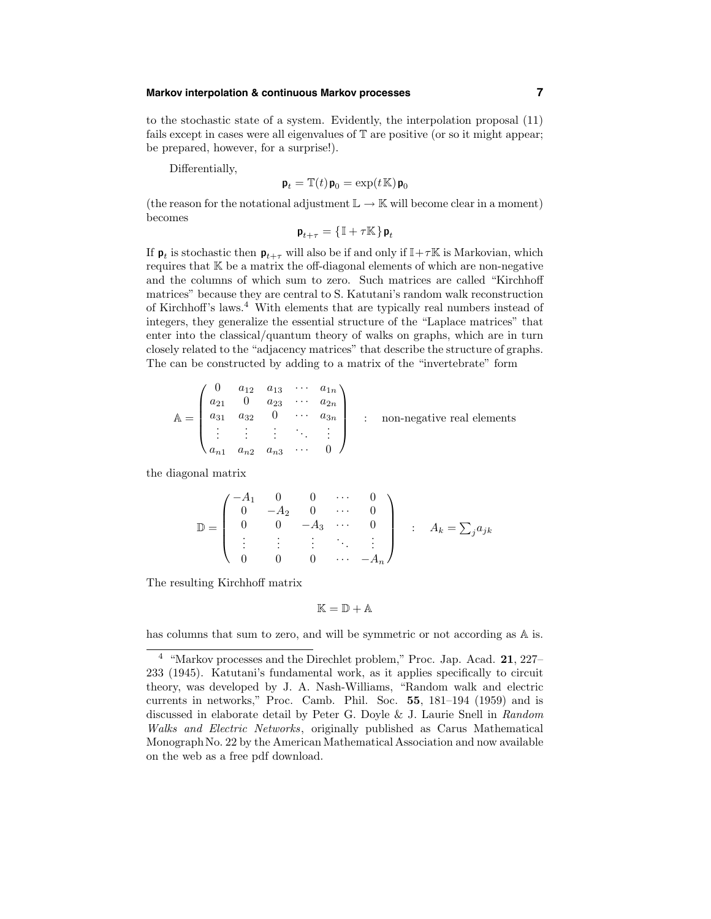## **Markov interpolation & continuous Markov processes 7**

to the stochastic state of a system. Evidently, the interpolation proposal (11) fails except in cases were all eigenvalues of T are positive (or so it might appear; be prepared, however, for a surprise!).

Differentially,

$$
\mathbf{p}_t = \mathbb{T}(t)\mathbf{p}_0 = \exp(t\mathbb{K})\mathbf{p}_0
$$

(the reason for the notational adjustment  $\mathbb{L} \to \mathbb{K}$  will become clear in a moment) becomes

 $\mathbf{p}_{t+\tau} = \{ \mathbb{I} + \tau \mathbb{K} \} \mathbf{p}_t$ 

If  $\mathbf{p}_t$  is stochastic then  $\mathbf{p}_{t+\tau}$  will also be if and only if  $\mathbb{I}+\tau\mathbb{K}$  is Markovian, which requires that  $K$  be a matrix the off-diagonal elements of which are non-negative and the columns of which sum to zero. Such matrices are called "Kirchhoff matrices" because they are central to S. Katutani's random walk reconstruction of Kirchhoff's laws.<sup>4</sup> With elements that are typically real numbers instead of integers, they generalize the essential structure of the "Laplace matrices" that enter into the classical/quantum theory of walks on graphs, which are in turn closely related to the "adjacency matrices" that describe the structure of graphs. The can be constructed by adding to a matrix of the "invertebrate" form

$$
\mathbb{A} = \begin{pmatrix} 0 & a_{12} & a_{13} & \cdots & a_{1n} \\ a_{21} & 0 & a_{23} & \cdots & a_{2n} \\ a_{31} & a_{32} & 0 & \cdots & a_{3n} \\ \vdots & \vdots & \vdots & \ddots & \vdots \\ a_{n1} & a_{n2} & a_{n3} & \cdots & 0 \end{pmatrix} \qquad \text{non-negative real elements}
$$

the diagonal matrix

$$
\mathbb{D} = \begin{pmatrix} -A_1 & 0 & 0 & \cdots & 0 \\ 0 & -A_2 & 0 & \cdots & 0 \\ 0 & 0 & -A_3 & \cdots & 0 \\ \vdots & \vdots & \vdots & \ddots & \vdots \\ 0 & 0 & 0 & \cdots & -A_n \end{pmatrix} \quad : A_k = \sum_j a_{jk}
$$

The resulting Kirchhoff matrix

$$
\mathbb{K}=\mathbb{D}+\mathbb{A}
$$

has columns that sum to zero, and will be symmetric or not according as  $A$  is.

<sup>&</sup>lt;sup>4</sup> "Markov processes and the Direchlet problem," Proc. Jap. Acad. **21**, 227– 233 (1945). Katutani's fundamental work, as it applies specifically to circuit theory, was developed by J. A. Nash-Williams, "Random walk and electric currents in networks," Proc. Camb. Phil. Soc. 55, 181–194 (1959) and is discussed in elaborate detail by Peter G. Doyle & J. Laurie Snell in Random Walks and Electric Networks, originally published as Carus Mathematical Monograph No. 22 by the American Mathematical Association and now available on the web as a free pdf download.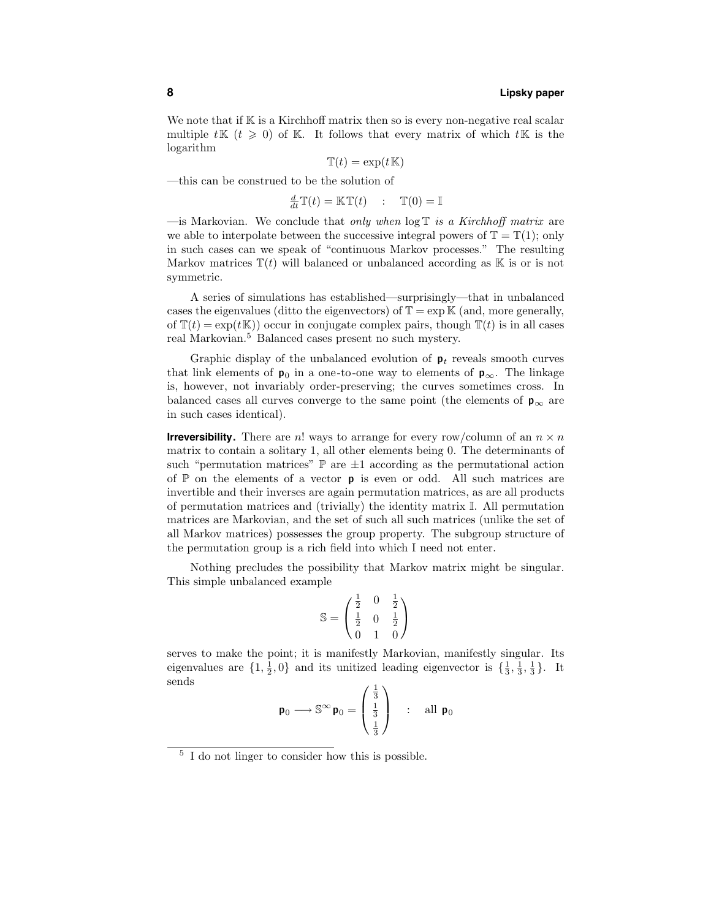We note that if  $K$  is a Kirchhoff matrix then so is every non-negative real scalar multiple  $t\mathbb{K}$   $(t \geq 0)$  of K. It follows that every matrix of which  $t\mathbb{K}$  is the logarithm

$$
\mathbb{T}(t) = \exp(t\mathbb{K})
$$

—this can be construed to be the solution of

$$
\frac{d}{dt}\mathbb{T}(t) = \mathbb{K}\mathbb{T}(t) \quad : \quad \mathbb{T}(0) = \mathbb{I}
$$

—is Markovian. We conclude that only when  $\log T$  is a Kirchhoff matrix are we able to interpolate between the successive integral powers of  $\mathbb{T} = \mathbb{T}(1)$ ; only in such cases can we speak of "continuous Markov processes." The resulting Markov matrices  $\mathbb{T}(t)$  will balanced or unbalanced according as K is or is not symmetric.

A series of simulations has established—surprisingly—that in unbalanced cases the eigenvalues (ditto the eigenvectors) of  $\mathbb{T} = \exp \mathbb{K}$  (and, more generally, of  $\mathbb{T}(t) = \exp(t \mathbb{K})$  occur in conjugate complex pairs, though  $\mathbb{T}(t)$  is in all cases real Markovian.<sup>5</sup> Balanced cases present no such mystery.

Graphic display of the unbalanced evolution of  $p_t$  reveals smooth curves that link elements of  $\mathbf{p}_0$  in a one-to-one way to elements of  $\mathbf{p}_{\infty}$ . The linkage is, however, not invariably order-preserving; the curves sometimes cross. In balanced cases all curves converge to the same point (the elements of  $p_{\infty}$  are in such cases identical).

**Irreversibility.** There are n! ways to arrange for every row/column of an  $n \times n$ matrix to contain a solitary 1, all other elements being 0. The determinants of such "permutation matrices"  $\mathbb P$  are  $\pm 1$  according as the permutational action of  $\mathbb P$  on the elements of a vector **p** is even or odd. All such matrices are invertible and their inverses are again permutation matrices, as are all products of permutation matrices and (trivially) the identity matrix I. All permutation matrices are Markovian, and the set of such all such matrices (unlike the set of all Markov matrices) possesses the group property. The subgroup structure of the permutation group is a rich field into which I need not enter.

Nothing precludes the possibility that Markov matrix might be singular. This simple unbalanced example

$$
\mathbb{S} = \begin{pmatrix} \frac{1}{2} & 0 & \frac{1}{2} \\ \frac{1}{2} & 0 & \frac{1}{2} \\ 0 & 1 & 0 \end{pmatrix}
$$

serves to make the point; it is manifestly Markovian, manifestly singular. Its eigenvalues are  $\{1, \frac{1}{2}, 0\}$  and its unitized leading eigenvector is  $\{\frac{1}{3}, \frac{1}{3}, \frac{1}{3}\}\$ . It sends

$$
\mathbf{p}_0 \longrightarrow \mathbb{S}^{\infty} \mathbf{p}_0 = \begin{pmatrix} \frac{1}{3} \\ \frac{1}{3} \\ \frac{1}{3} \end{pmatrix} \quad : \quad \text{all } \mathbf{p}_0
$$

<sup>5</sup> I do not linger to consider how this is possible.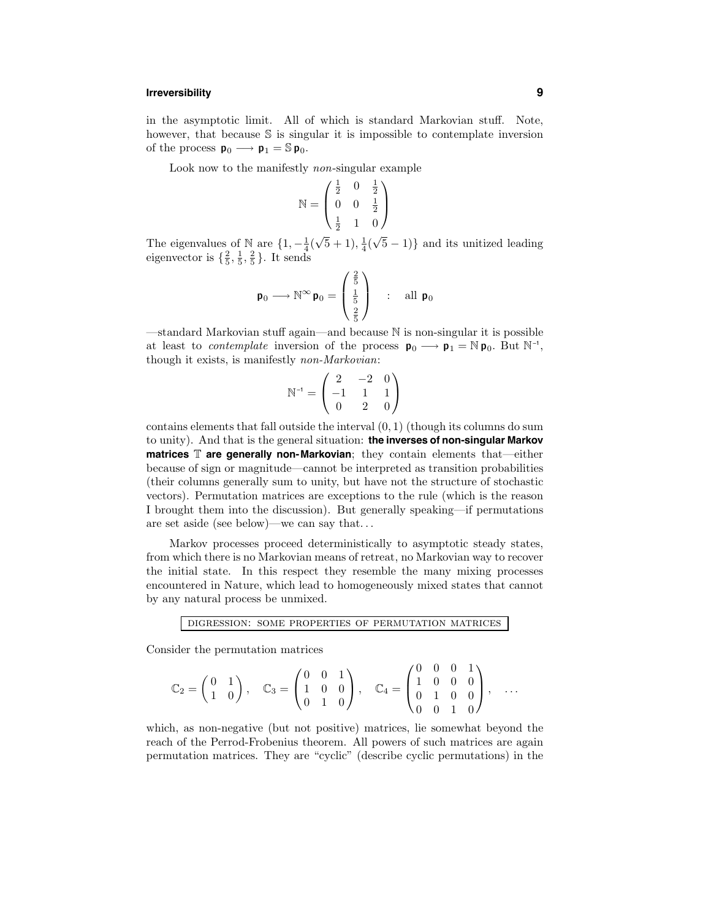## **Irreversibility 9**

in the asymptotic limit. All of which is standard Markovian stuff. Note, however, that because S is singular it is impossible to contemplate inversion of the process  $\mathbf{p}_0 \longrightarrow \mathbf{p}_1 = \mathbb{S} \mathbf{p}_0$ .

Look now to the manifestly non-singular example

$$
\mathbb{N} = \begin{pmatrix} \frac{1}{2} & 0 & \frac{1}{2} \\ 0 & 0 & \frac{1}{2} \\ \frac{1}{2} & 1 & 0 \end{pmatrix}
$$

The eigenvalues of N are  $\{1, -\frac{1}{4}(\sqrt{5}+1), \frac{1}{4}(\sqrt{5}-1)\}\$  and its unitized leading eigenvector is  $\{\frac{2}{5}, \frac{1}{5}, \frac{2}{5}\}\.$  It sends

$$
\mathbf{p}_0 \longrightarrow \mathbb{N}^{\infty} \mathbf{p}_0 = \begin{pmatrix} \frac{2}{5} \\ \frac{1}{5} \\ \frac{2}{5} \end{pmatrix} \quad : \quad \text{all } \mathbf{p}_0
$$

—standard Markovian stuff again—and because N is non-singular it is possible at least to *contemplate* inversion of the process  $p_0 \rightarrow p_1 = N p_0$ . But N<sup>-1</sup>, though it exists, is manifestly non-Markovian:

$$
\mathbb{N}^{-1} = \begin{pmatrix} 2 & -2 & 0 \\ -1 & 1 & 1 \\ 0 & 2 & 0 \end{pmatrix}
$$

contains elements that fall outside the interval  $(0, 1)$  (though its columns do sum to unity). And that is the general situation: **the inverses of non-singular Markov matrices** T **are generally non-Markovian**; they contain elements that—either because of sign or magnitude—cannot be interpreted as transition probabilities (their columns generally sum to unity, but have not the structure of stochastic vectors). Permutation matrices are exceptions to the rule (which is the reason I brought them into the discussion). But generally speaking—if permutations are set aside (see below)—we can say that. . .

Markov processes proceed deterministically to asymptotic steady states, from which there is no Markovian means of retreat, no Markovian way to recover the initial state. In this respect they resemble the many mixing processes encountered in Nature, which lead to homogeneously mixed states that cannot by any natural process be unmixed.

digression: some properties of permutation matrices

Consider the permutation matrices

$$
\mathbb{C}_2 = \begin{pmatrix} 0 & 1 \\ 1 & 0 \end{pmatrix}, \quad \mathbb{C}_3 = \begin{pmatrix} 0 & 0 & 1 \\ 1 & 0 & 0 \\ 0 & 1 & 0 \end{pmatrix}, \quad \mathbb{C}_4 = \begin{pmatrix} 0 & 0 & 0 & 1 \\ 1 & 0 & 0 & 0 \\ 0 & 1 & 0 & 0 \\ 0 & 0 & 1 & 0 \end{pmatrix}, \quad \ldots
$$

which, as non-negative (but not positive) matrices, lie somewhat beyond the reach of the Perrod-Frobenius theorem. All powers of such matrices are again permutation matrices. They are "cyclic" (describe cyclic permutations) in the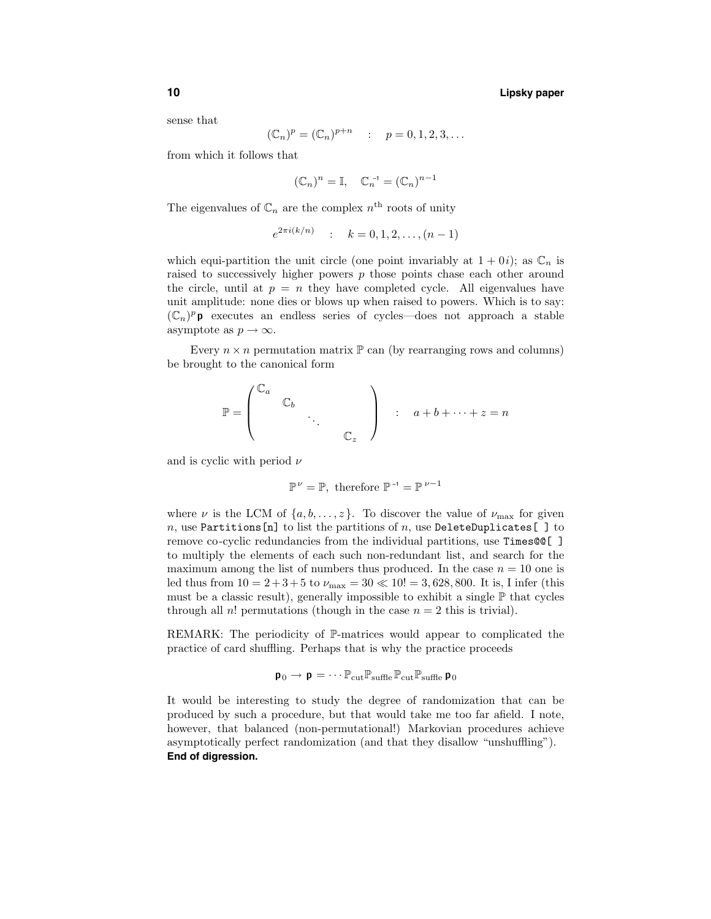sense that

$$
(\mathbb{C}_n)^p = (\mathbb{C}_n)^{p+n} \quad : \quad p = 0, 1, 2, 3, \dots
$$

from which it follows that

$$
(\mathbb{C}_n)^n = \mathbb{I}, \quad \mathbb{C}_n^{-1} = (\mathbb{C}_n)^{n-1}
$$

The eigenvalues of  $\mathbb{C}_n$  are the complex  $n^{\text{th}}$  roots of unity

$$
e^{2\pi i(k/n)} \quad : \quad k = 0, 1, 2, \dots, (n-1)
$$

which equi-partition the unit circle (one point invariably at  $1 + 0i$ ); as  $\mathbb{C}_n$  is raised to successively higher powers  $p$  those points chase each other around the circle, until at  $p = n$  they have completed cycle. All eigenvalues have unit amplitude: none dies or blows up when raised to powers. Which is to say:  $(\mathbb{C}_n)^p$  p executes an endless series of cycles—does not approach a stable asymptote as  $p \to \infty$ .

Every  $n \times n$  permutation matrix  $\mathbb{P}$  can (by rearranging rows and columns) be brought to the canonical form

$$
\mathbb{P} = \begin{pmatrix} \mathbb{C}_a & & & \\ & \mathbb{C}_b & & \\ & & \ddots & \\ & & & \mathbb{C}_z \end{pmatrix} \qquad a + b + \cdots + z = n
$$

and is cyclic with period  $\nu$ 

$$
\mathbb{P}^{\nu} = \mathbb{P}, \text{ therefore } \mathbb{P}^{-1} = \mathbb{P}^{\nu - 1}
$$

where  $\nu$  is the LCM of  $\{a, b, \ldots, z\}$ . To discover the value of  $\nu_{\text{max}}$  for given n, use Partitions [n] to list the partitions of n, use DeleteDuplicates [] to remove co-cyclic redundancies from the individual partitions, use Times@@[ ] to multiply the elements of each such non-redundant list, and search for the maximum among the list of numbers thus produced. In the case  $n = 10$  one is led thus from  $10 = 2 + 3 + 5$  to  $\nu_{\text{max}} = 30 \ll 10! = 3,628,800$ . It is, I infer (this must be a classic result), generally impossible to exhibit a single  $\mathbb P$  that cycles through all n! permutations (though in the case  $n = 2$  this is trivial).

REMARK: The periodicity of P-matrices would appear to complicated the practice of card shuffling. Perhaps that is why the practice proceeds

$$
\textbf{p}_0 \rightarrow \textbf{p} = \cdots \mathbb{P}_{\rm cut} \mathbb{P}_{\rm sufHe} \, \mathbb{P}_{\rm cut} \mathbb{P}_{\rm sufHe} \, \textbf{p}_0
$$

It would be interesting to study the degree of randomization that can be produced by such a procedure, but that would take me too far afield. I note, however, that balanced (non-permutational!) Markovian procedures achieve asymptotically perfect randomization (and that they disallow "unshuffling"). **End of digression.**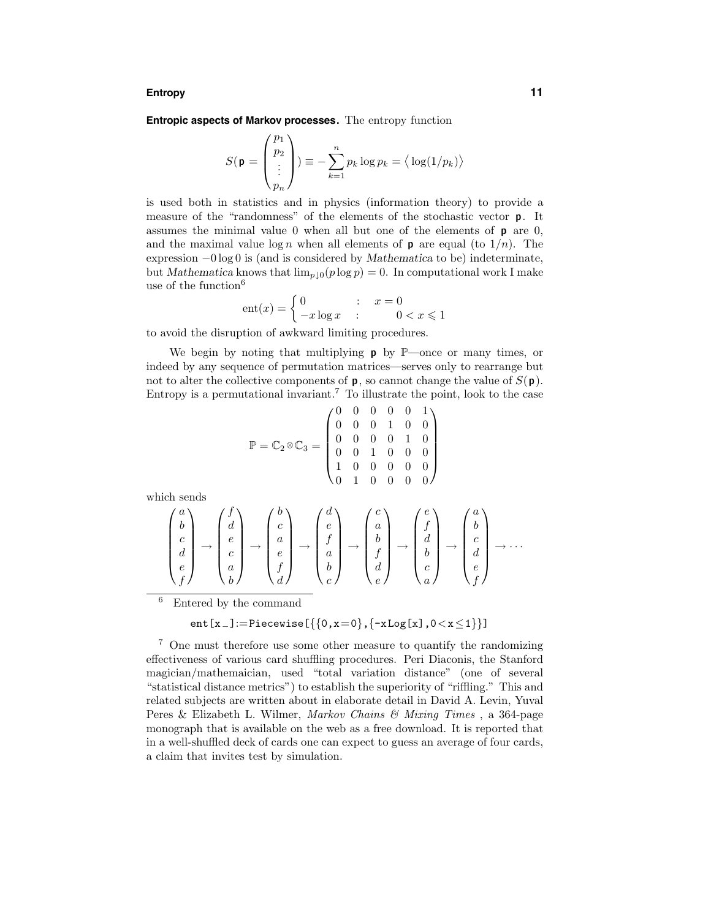#### **Entropy 11**

**Entropic aspects of Markov processes.** The entropy function

$$
S(\mathbf{p} = \begin{pmatrix} p_1 \\ p_2 \\ \vdots \\ p_n \end{pmatrix}) \equiv -\sum_{k=1}^n p_k \log p_k = \langle \log(1/p_k) \rangle
$$

is used both in statistics and in physics (information theory) to provide a measure of the "randomness" of the elements of the stochastic vector p. It assumes the minimal value  $0$  when all but one of the elements of  $p$  are  $0$ , and the maximal value  $\log n$  when all elements of **p** are equal (to  $1/n$ ). The expression −0 log 0 is (and is considered by Mathematica to be) indeterminate, but Mathematica knows that  $\lim_{p\downarrow 0}(p\log p) = 0$ . In computational work I make use of the function<sup>6</sup>

$$
ent(x) = \begin{cases} 0 & \text{if } x = 0\\ -x \log x & \text{if } 0 < x \le 1 \end{cases}
$$

to avoid the disruption of awkward limiting procedures.

We begin by noting that multiplying  $\rho$  by  $\mathbb{P}$ —once or many times, or indeed by any sequence of permutation matrices—serves only to rearrange but not to alter the collective components of  $p$ , so cannot change the value of  $S(p)$ . Entropy is a permutational invariant.<sup>7</sup> To illustrate the point, look to the case

$$
\mathbb{P} = \mathbb{C}_2 \otimes \mathbb{C}_3 = \begin{pmatrix} 0 & 0 & 0 & 0 & 0 & 1 \\ 0 & 0 & 0 & 1 & 0 & 0 \\ 0 & 0 & 0 & 0 & 1 & 0 \\ 0 & 0 & 1 & 0 & 0 & 0 \\ 1 & 0 & 0 & 0 & 0 & 0 \\ 0 & 1 & 0 & 0 & 0 & 0 \end{pmatrix}
$$

which sends

$$
\begin{pmatrix} a \\ b \\ c \\ d \\ e \\ f \end{pmatrix} \rightarrow \begin{pmatrix} f \\ d \\ e \\ c \\ d \\ f \\ f \end{pmatrix} \rightarrow \begin{pmatrix} b \\ c \\ a \\ e \\ f \\ d \end{pmatrix} \rightarrow \begin{pmatrix} d \\ e \\ f \\ a \\ b \\ c \end{pmatrix} \rightarrow \begin{pmatrix} c \\ a \\ b \\ f \\ d \\ e \end{pmatrix} \rightarrow \begin{pmatrix} e \\ f \\ d \\ d \\ c \\ c \\ f \end{pmatrix} \rightarrow \begin{pmatrix} a \\ b \\ c \\ d \\ e \\ f \end{pmatrix} \rightarrow \dots
$$

<sup>6</sup> Entered by the command

$$
ent[x_+] := \text{Piecewise}\left[\left\{ \left\{0, x=0\right\}, \left\{-x \text{Log}[x], 0 < x \leq 1\right\} \right\}\right]
$$

<sup>7</sup> One must therefore use some other measure to quantify the randomizing effectiveness of various card shuffling procedures. Peri Diaconis, the Stanford magician/mathemaician, used "total variation distance" (one of several "statistical distance metrics") to establish the superiority of "riffling." This and related subjects are written about in elaborate detail in David A. Levin, Yuval Peres & Elizabeth L. Wilmer, Markov Chains & Mixing Times, a 364-page monograph that is available on the web as a free download. It is reported that in a well-shuffled deck of cards one can expect to guess an average of four cards, a claim that invites test by simulation.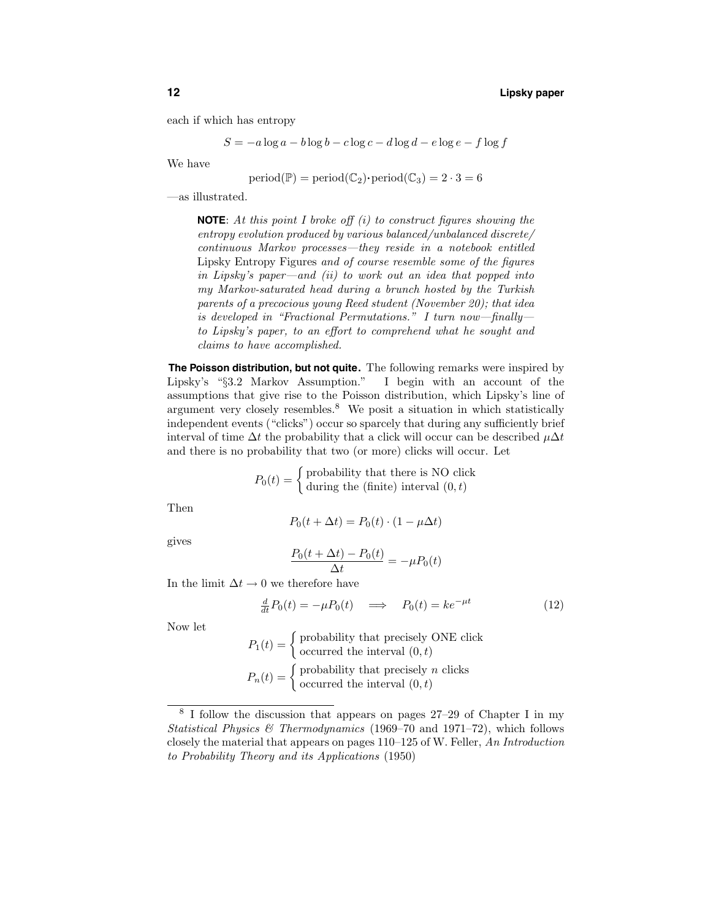each if which has entropy

$$
S = -a \log a - b \log b - c \log c - d \log d - e \log e - f \log f
$$

We have

$$
period(\mathbb{P}) = period(\mathbb{C}_2) \cdot period(\mathbb{C}_3) = 2 \cdot 3 = 6
$$

—as illustrated.

**NOTE**: At this point I broke off (i) to construct figures showing the entropy evolution produced by various balanced/unbalanced discrete/ continuous Markov processes—they reside in a notebook entitled Lipsky Entropy Figures and of course resemble some of the figures in Lipsky's paper—and (ii) to work out an idea that popped into my Markov-saturated head during a brunch hosted by the Turkish parents of a precocious young Reed student (November 20); that idea is developed in "Fractional Permutations." I turn now—finally to Lipsky's paper, to an effort to comprehend what he sought and claims to have accomplished.

**The Poisson distribution, but not quite.** The following remarks were inspired by Lipsky's "§3.2 Markov Assumption." I begin with an account of the assumptions that give rise to the Poisson distribution, which Lipsky's line of argument very closely resembles.<sup>8</sup> We posit a situation in which statistically independent events ("clicks") occur so sparcely that during any sufficiently brief interval of time  $\Delta t$  the probability that a click will occur can be described  $\mu \Delta t$ and there is no probability that two (or more) clicks will occur. Let

$$
P_0(t) = \begin{cases} \text{probability that there is NO click} \\ \text{during the (finite) interval } (0, t) \end{cases}
$$

Then

$$
P_0(t + \Delta t) = P_0(t) \cdot (1 - \mu \Delta t)
$$

gives

$$
\frac{P_0(t + \Delta t) - P_0(t)}{\Delta t} = -\mu P_0(t)
$$

In the limit  $\Delta t \rightarrow 0$  we therefore have

$$
\frac{d}{dt}P_0(t) = -\mu P_0(t) \quad \Longrightarrow \quad P_0(t) = k e^{-\mu t} \tag{12}
$$

Now let

$$
P_1(t) = \begin{cases} \text{probability that precisely ONE click} \\ \text{occurred the interval } (0, t) \end{cases}
$$

$$
P_n(t) = \begin{cases} \text{probability that precisely } n \text{ clicks} \\ \text{occurred the interval } (0, t) \end{cases}
$$

<sup>8</sup> I follow the discussion that appears on pages 27–29 of Chapter I in my Statistical Physics & Thermodynamics (1969–70 and 1971–72), which follows closely the material that appears on pages 110–125 of W. Feller, An Introduction to Probability Theory and its Applications (1950)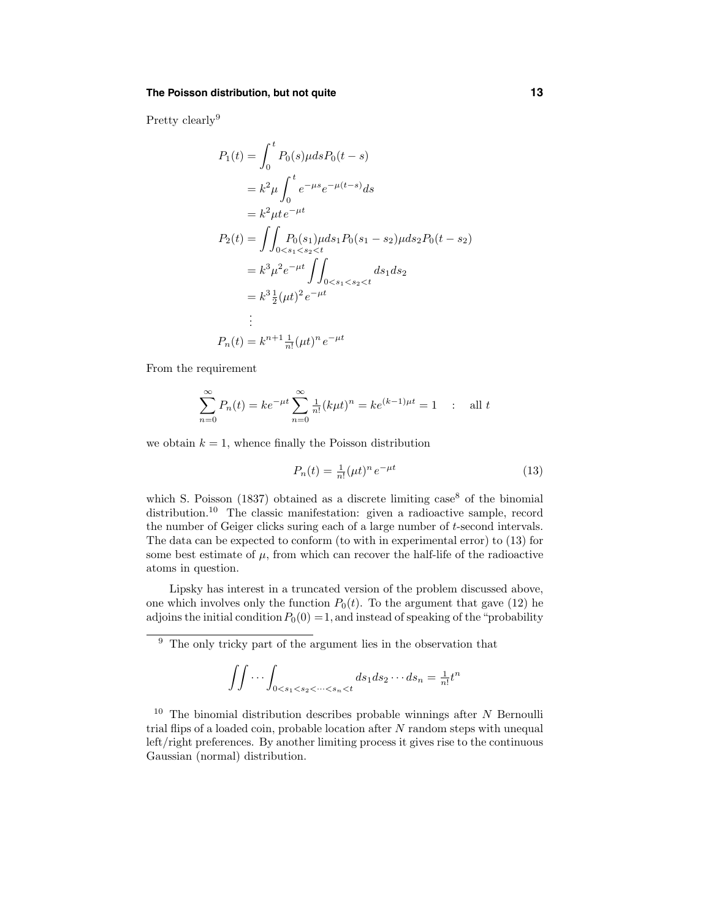## **The Poisson distribution, but not quite 13**

Pretty clearly<sup>9</sup>

$$
P_1(t) = \int_0^t P_0(s)\mu ds P_0(t-s)
$$
  
=  $k^2 \mu \int_0^t e^{-\mu s} e^{-\mu(t-s)} ds$   
=  $k^2 \mu t e^{-\mu t}$   

$$
P_2(t) = \int \int_{0 < s_1 < s_2 < t} P_0(s_1) \mu ds_1 P_0(s_1 - s_2) \mu ds_2 P_0(t - s_2)
$$
  
=  $k^3 \mu^2 e^{-\mu t} \int_{0 < s_1 < s_2 < t} ds_1 ds_2$   
=  $k^3 \frac{1}{2} (\mu t)^2 e^{-\mu t}$   
:  

$$
P_n(t) = k^{n+1} \frac{1}{n!} (\mu t)^n e^{-\mu t}
$$

From the requirement

$$
\sum_{n=0}^{\infty} P_n(t) = ke^{-\mu t} \sum_{n=0}^{\infty} \frac{1}{n!} (k\mu t)^n = ke^{(k-1)\mu t} = 1 \quad : \quad \text{all } t
$$

we obtain  $k = 1$ , whence finally the Poisson distribution

$$
P_n(t) = \frac{1}{n!} (\mu t)^n e^{-\mu t}
$$
 (13)

which S. Poisson (1837) obtained as a discrete limiting  $case<sup>8</sup>$  of the binomial distribution.<sup>10</sup> The classic manifestation: given a radioactive sample, record the number of Geiger clicks suring each of a large number of t-second intervals. The data can be expected to conform (to with in experimental error) to (13) for some best estimate of  $\mu$ , from which can recover the half-life of the radioactive atoms in question.

Lipsky has interest in a truncated version of the problem discussed above, one which involves only the function  $P_0(t)$ . To the argument that gave (12) he adjoins the initial condition  $P_0(0) = 1$ , and instead of speaking of the "probability"

$$
\iint \cdots \int_{0 < s_1 < s_2 < \cdots < s_n < t} ds_1 ds_2 \cdots ds_n = \frac{1}{n!} t^n
$$

 $10$  The binomial distribution describes probable winnings after N Bernoulli trial flips of a loaded coin, probable location after  $N$  random steps with unequal left/right preferences. By another limiting process it gives rise to the continuous Gaussian (normal) distribution.

 $\frac{9}{9}$  The only tricky part of the argument lies in the observation that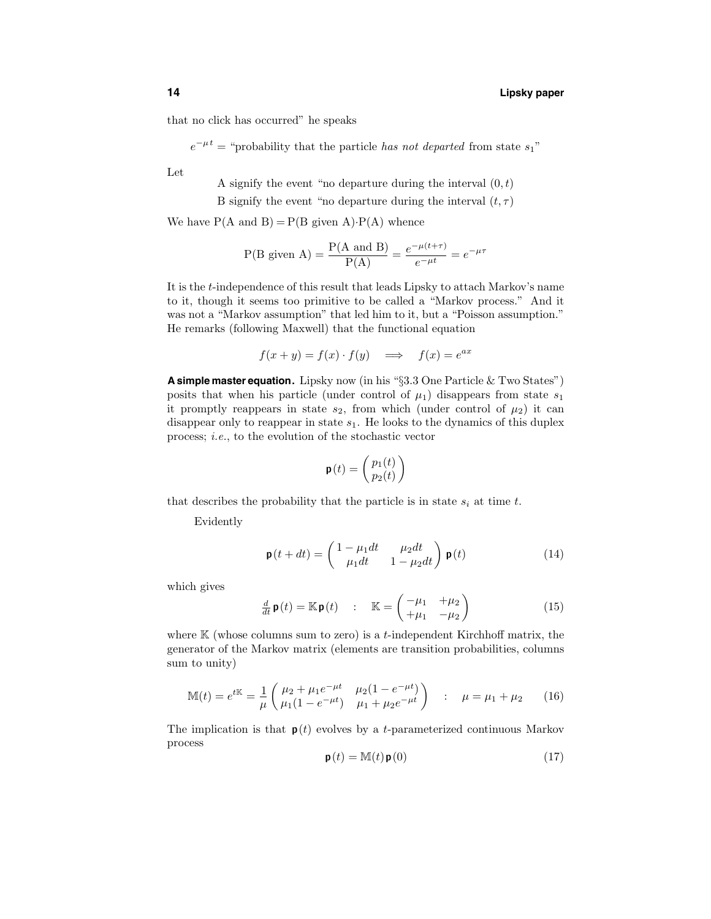that no click has occurred" he speaks

 $e^{-\mu t}$  = "probability that the particle has not departed from state s<sub>1</sub>"

Let

A signify the event "no departure during the interval  $(0, t)$ 

B signify the event "no departure during the interval  $(t, \tau)$ 

We have  $P(A \text{ and } B) = P(B \text{ given } A) \cdot P(A)$  whence

$$
P(B \text{ given } A) = \frac{P(A \text{ and } B)}{P(A)} = \frac{e^{-\mu(t+\tau)}}{e^{-\mu t}} = e^{-\mu \tau}
$$

It is the t-independence of this result that leads Lipsky to attach Markov's name to it, though it seems too primitive to be called a "Markov process." And it was not a "Markov assumption" that led him to it, but a "Poisson assumption." He remarks (following Maxwell) that the functional equation

$$
f(x + y) = f(x) \cdot f(y) \quad \Longrightarrow \quad f(x) = e^{ax}
$$

**<sup>A</sup> simple master equation.** Lipsky now (in his "§3.3 One Particle & Two States") posits that when his particle (under control of  $\mu_1$ ) disappears from state  $s_1$ it promptly reappears in state  $s_2$ , from which (under control of  $\mu_2$ ) it can disappear only to reappear in state  $s_1$ . He looks to the dynamics of this duplex process; i.e., to the evolution of the stochastic vector

$$
\mathbf{p}(t) = \begin{pmatrix} p_1(t) \\ p_2(t) \end{pmatrix}
$$

that describes the probability that the particle is in state  $s_i$  at time t.

Evidently

$$
\mathbf{p}(t+dt) = \begin{pmatrix} 1 - \mu_1 dt & \mu_2 dt \\ \mu_1 dt & 1 - \mu_2 dt \end{pmatrix} \mathbf{p}(t)
$$
 (14)

which gives

$$
\frac{d}{dt}\mathbf{p}(t) = \mathbb{K}\mathbf{p}(t) \qquad : \quad \mathbb{K} = \begin{pmatrix} -\mu_1 & +\mu_2 \\ +\mu_1 & -\mu_2 \end{pmatrix} \tag{15}
$$

where  $K$  (whose columns sum to zero) is a *t*-independent Kirchhoff matrix, the generator of the Markov matrix (elements are transition probabilities, columns sum to unity)

$$
\mathbb{M}(t) = e^{t\mathbb{K}} = \frac{1}{\mu} \begin{pmatrix} \mu_2 + \mu_1 e^{-\mu t} & \mu_2 (1 - e^{-\mu t}) \\ \mu_1 (1 - e^{-\mu t}) & \mu_1 + \mu_2 e^{-\mu t} \end{pmatrix} : \mu = \mu_1 + \mu_2 \qquad (16)
$$

The implication is that  $p(t)$  evolves by a t-parameterized continuous Markov process

$$
\mathbf{p}(t) = \mathbb{M}(t)\mathbf{p}(0) \tag{17}
$$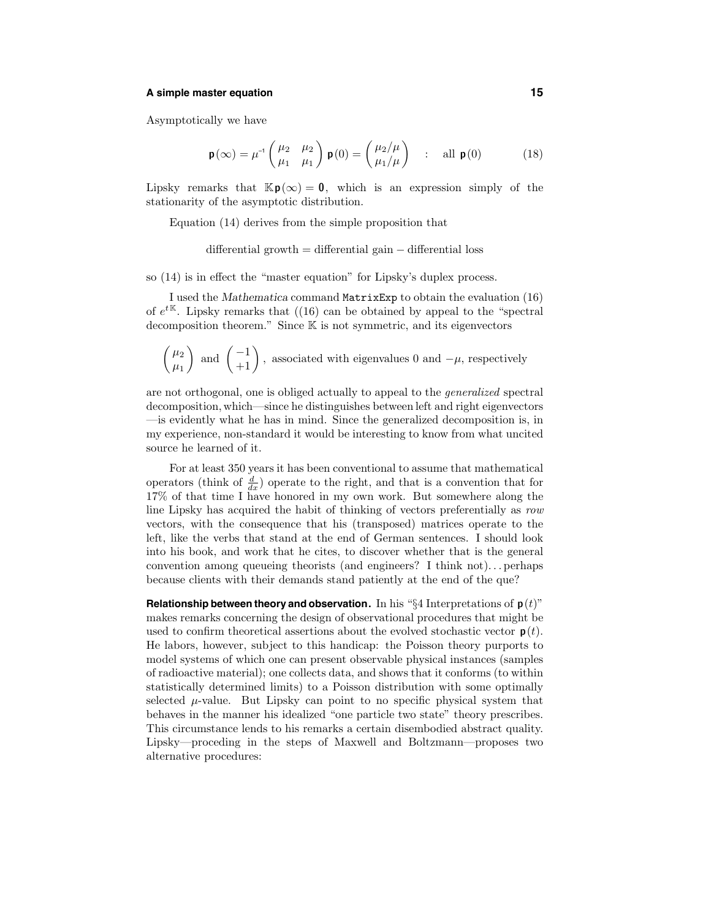#### **A simple master equation 15**

Asymptotically we have

$$
\mathbf{p}(\infty) = \mu^{-1} \begin{pmatrix} \mu_2 & \mu_2 \\ \mu_1 & \mu_1 \end{pmatrix} \mathbf{p}(0) = \begin{pmatrix} \mu_2/\mu \\ \mu_1/\mu \end{pmatrix} \quad : \quad \text{all } \mathbf{p}(0) \tag{18}
$$

Lipsky remarks that  $\mathbb{K}p(\infty) = 0$ , which is an expression simply of the stationarity of the asymptotic distribution.

Equation (14) derives from the simple proposition that

differential growth = differential gain − differential loss

so (14) is in effect the "master equation" for Lipsky's duplex process.

I used the Mathematica command MatrixExp to obtain the evaluation (16) of  $e^{t\mathbb{K}}$ . Lipsky remarks that ((16) can be obtained by appeal to the "spectral decomposition theorem." Since K is not symmetric, and its eigenvectors

$$
\begin{pmatrix} \mu_2 \\ \mu_1 \end{pmatrix}
$$
 and  $\begin{pmatrix} -1 \\ +1 \end{pmatrix}$ , associated with eigenvalues 0 and  $-\mu$ , respectively

are not orthogonal, one is obliged actually to appeal to the generalized spectral decomposition, which—since he distinguishes between left and right eigenvectors —is evidently what he has in mind. Since the generalized decomposition is, in my experience, non-standard it would be interesting to know from what uncited source he learned of it.

For at least 350 years it has been conventional to assume that mathematical operators (think of  $\frac{d}{dx}$ ) operate to the right, and that is a convention that for 17% of that time I have honored in my own work. But somewhere along the line Lipsky has acquired the habit of thinking of vectors preferentially as row vectors, with the consequence that his (transposed) matrices operate to the left, like the verbs that stand at the end of German sentences. I should look into his book, and work that he cites, to discover whether that is the general convention among queueing theorists (and engineers? I think not). . . perhaps because clients with their demands stand patiently at the end of the que?

**Relationship between theory and observation.** In his " $\S 4$  Interpretations of  $p(t)$ " makes remarks concerning the design of observational procedures that might be used to confirm theoretical assertions about the evolved stochastic vector  $p(t)$ . He labors, however, subject to this handicap: the Poisson theory purports to model systems of which one can present observable physical instances (samples of radioactive material); one collects data, and shows that it conforms (to within statistically determined limits) to a Poisson distribution with some optimally selected  $\mu$ -value. But Lipsky can point to no specific physical system that behaves in the manner his idealized "one particle two state" theory prescribes. This circumstance lends to his remarks a certain disembodied abstract quality. Lipsky—proceding in the steps of Maxwell and Boltzmann—proposes two alternative procedures: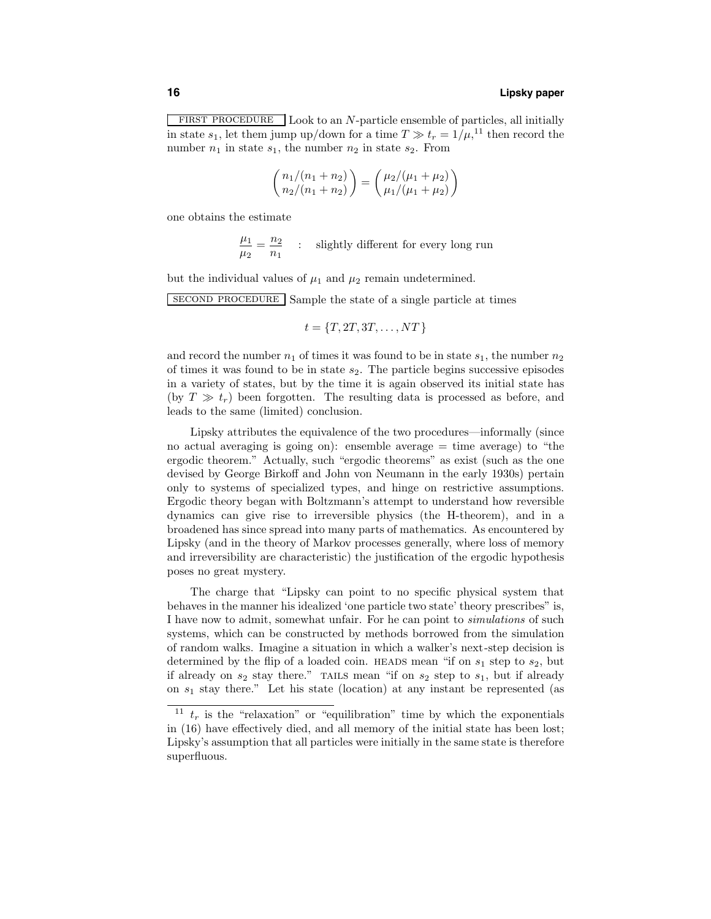FIRST PROCEDURE Look to an N-particle ensemble of particles, all initially in state  $s_1$ , let them jump up/down for a time  $T \gg t_r = 1/\mu$ ,<sup>11</sup> then record the number  $n_1$  in state  $s_1$ , the number  $n_2$  in state  $s_2$ . From

$$
\binom{n_1/(n_1+n_2)}{n_2/(n_1+n_2)} = \binom{\mu_2/(\mu_1+\mu_2)}{\mu_1/(\mu_1+\mu_2)}
$$

one obtains the estimate

$$
\frac{\mu_1}{\mu_2} = \frac{n_2}{n_1} \quad : \quad \text{slightly different for every long run}
$$

but the individual values of  $\mu_1$  and  $\mu_2$  remain undetermined.

second procedure Sample the state of a single particle at times

$$
t = \{T, 2T, 3T, \dots, NT\}
$$

and record the number  $n_1$  of times it was found to be in state  $s_1$ , the number  $n_2$ of times it was found to be in state  $s_2$ . The particle begins successive episodes in a variety of states, but by the time it is again observed its initial state has (by  $T \gg t_r$ ) been forgotten. The resulting data is processed as before, and leads to the same (limited) conclusion.

Lipsky attributes the equivalence of the two procedures—informally (since no actual averaging is going on): ensemble average  $=$  time average) to "the ergodic theorem." Actually, such "ergodic theorems" as exist (such as the one devised by George Birkoff and John von Neumann in the early 1930s) pertain only to systems of specialized types, and hinge on restrictive assumptions. Ergodic theory began with Boltzmann's attempt to understand how reversible dynamics can give rise to irreversible physics (the H-theorem), and in a broadened has since spread into many parts of mathematics. As encountered by Lipsky (and in the theory of Markov processes generally, where loss of memory and irreversibility are characteristic) the justification of the ergodic hypothesis poses no great mystery.

The charge that "Lipsky can point to no specific physical system that behaves in the manner his idealized 'one particle two state' theory prescribes" is, I have now to admit, somewhat unfair. For he can point to simulations of such systems, which can be constructed by methods borrowed from the simulation of random walks. Imagine a situation in which a walker's next-step decision is determined by the flip of a loaded coin. HEADS mean "if on  $s_1$  step to  $s_2$ , but if already on  $s_2$  stay there." TAILS mean "if on  $s_2$  step to  $s_1$ , but if already on  $s_1$  stay there." Let his state (location) at any instant be represented (as

<sup>&</sup>lt;sup>11</sup>  $t_r$  is the "relaxation" or "equilibration" time by which the exponentials in (16) have effectively died, and all memory of the initial state has been lost; Lipsky's assumption that all particles were initially in the same state is therefore superfluous.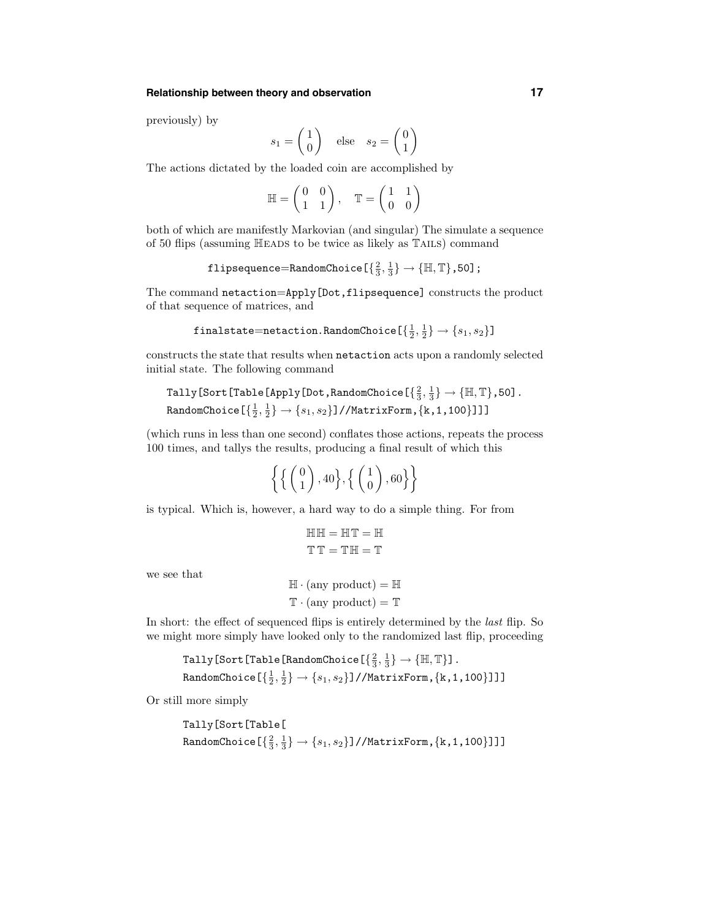## **Relationship between theory and observation 17**

previously) by

$$
s_1 = \begin{pmatrix} 1 \\ 0 \end{pmatrix} \quad \text{else} \quad s_2 = \begin{pmatrix} 0 \\ 1 \end{pmatrix}
$$

The actions dictated by the loaded coin are accomplished by

$$
\mathbb{H} = \begin{pmatrix} 0 & 0 \\ 1 & 1 \end{pmatrix}, \quad \mathbb{T} = \begin{pmatrix} 1 & 1 \\ 0 & 0 \end{pmatrix}
$$

both of which are manifestly Markovian (and singular) The simulate a sequence of 50 flips (assuming Heads to be twice as likely as Tails) command

$$
\texttt{flipsequence} \texttt{=RandomChoice}\left[\left\{\tfrac{2}{3}, \tfrac{1}{3}\right\} \to \left\{\mathbb{H}, \mathbb{T}\right\}, 50\right];
$$

The command netaction=Apply[Dot,flipsequence] constructs the product of that sequence of matrices, and

$$
\mathtt{finalstate} \mathtt{ =} \mathtt{netaction}.\mathtt{RandomChoice}\left[\left\{\tfrac{1}{2},\tfrac{1}{2}\right\} \to \{s_1,s_2\}\right]
$$

constructs the state that results when netaction acts upon a randomly selected initial state. The following command

Tally [Sort [Table [Apply [Dot, RandomChoice 
$$
[\frac{2}{3}, \frac{1}{3}] \rightarrow \{\mathbb{H}, \mathbb{T}\}
$$
, 50]. RandomChoice  $[\frac{1}{2}, \frac{1}{2} \rightarrow \{s_1, s_2\}]/\text{MatrixForm}, \{k, 1, 100\}]$ ]

(which runs in less than one second) conflates those actions, repeats the process 100 times, and tallys the results, producing a final result of which this

| $\left\{\left\{\left(\begin{array}{c} 0\\ 1\end{array}\right),40\right\},\left\{\left(\begin{array}{c} 1\\ 0\end{array}\right),60\right\}\right\}$ |  |  |
|----------------------------------------------------------------------------------------------------------------------------------------------------|--|--|
|----------------------------------------------------------------------------------------------------------------------------------------------------|--|--|

is typical. Which is, however, a hard way to do a simple thing. For from

```
HH = HT = HTT = TH = T
```
we see that

```
\mathbb{H} \cdot \text{(any product)} = \mathbb{H}\mathbb{T} \cdot \text{(any product)} = \mathbb{T}
```
In short: the effect of sequenced flips is entirely determined by the *last* flip. So we might more simply have looked only to the randomized last flip, proceeding

```
\texttt{Tally}[\texttt{Sort}[\texttt{Table}[\texttt{RandomChoice}[\{\frac{2}{3},\frac{1}{3}\}\rightarrow \{\mathbb{H},\mathbb{T}\}] .
\texttt{RandomChoice}[\{\frac{1}{2},\frac{1}{2}\}\rightarrow\{s_1,s_2\}]/\texttt{MatrixForm},\{\texttt{k},1,100\}]]]
```
Or still more simply

```
Tally[Sort[Table[
\texttt{RandomChoice}[\{\frac{2}{3},\frac{1}{3}\}\rightarrow\{s_1,s_2\}]/\texttt{MatrixForm},\{\texttt{k},\texttt{1},\texttt{100}\}]]]
```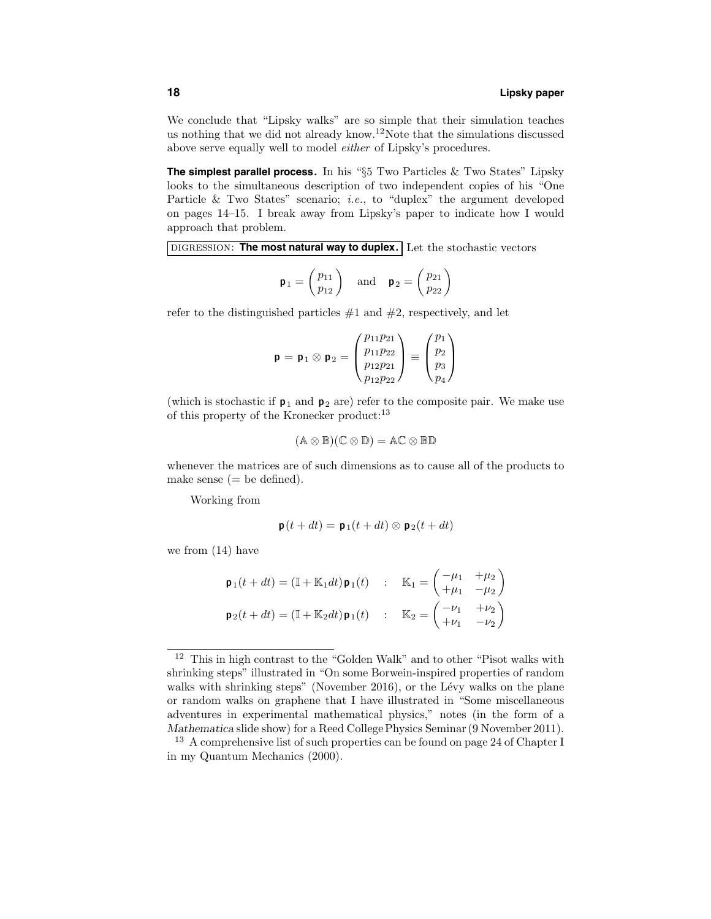We conclude that "Lipsky walks" are so simple that their simulation teaches us nothing that we did not already know.<sup>12</sup>Note that the simulations discussed above serve equally well to model either of Lipsky's procedures.

**The simplest parallel process.** In his "§5 Two Particles & Two States" Lipsky looks to the simultaneous description of two independent copies of his "One Particle & Two States" scenario; *i.e.*, to "duplex" the argument developed on pages 14–15. I break away from Lipsky's paper to indicate how I would approach that problem.

digression: **The most natural way to duplex.** Let the stochastic vectors

$$
\mathbf{p}_1 = \begin{pmatrix} p_{11} \\ p_{12} \end{pmatrix} \quad \text{and} \quad \mathbf{p}_2 = \begin{pmatrix} p_{21} \\ p_{22} \end{pmatrix}
$$

refer to the distinguished particles  $#1$  and  $#2$ , respectively, and let

$$
\mathbf{p} = \mathbf{p}_1 \otimes \mathbf{p}_2 = \begin{pmatrix} p_{11}p_{21} \\ p_{11}p_{22} \\ p_{12}p_{21} \\ p_{12}p_{22} \end{pmatrix} \equiv \begin{pmatrix} p_1 \\ p_2 \\ p_3 \\ p_4 \end{pmatrix}
$$

(which is stochastic if  $p_1$  and  $p_2$  are) refer to the composite pair. We make use of this property of the Kronecker product:<sup>13</sup>

$$
(\mathbb{A}\otimes\mathbb{B})(\mathbb{C}\otimes\mathbb{D})=\mathbb{A}\mathbb{C}\otimes\mathbb{B}\mathbb{D}
$$

whenever the matrices are of such dimensions as to cause all of the products to make sense  $(=$  be defined).

Working from

$$
\mathbf{p}(t+dt) = \mathbf{p}_1(t+dt) \otimes \mathbf{p}_2(t+dt)
$$

we from (14) have

| $\mathbf{p}_1(t+dt) = \left(\mathbb{I} + \mathbb{K}_1 dt\right) \mathbf{p}_1(t) \quad : \quad \mathbb{K}_1 = \begin{pmatrix} -\mu_1 & +\mu_2 \\ +\mu_1 & -\mu_2 \end{pmatrix}$ |  |  |
|--------------------------------------------------------------------------------------------------------------------------------------------------------------------------------|--|--|
| $\mathbf{p}_2(t+dt) = \left(\mathbb{I} + \mathbb{K}_2 dt\right) \mathbf{p}_1(t) \quad : \quad \mathbb{K}_2 = \begin{pmatrix} -\nu_1 & +\nu_2 \\ +\nu_1 & -\nu_2 \end{pmatrix}$ |  |  |

 $^{12}\,$  This in high contrast to the "Golden Walk" and to other "Pisot walks with shrinking steps" illustrated in "On some Borwein-inspired properties of random walks with shrinking steps" (November 2016), or the Lévy walks on the plane or random walks on graphene that I have illustrated in "Some miscellaneous adventures in experimental mathematical physics," notes (in the form of a Mathematica slide show) for a Reed College Physics Seminar (9 November 2011).

<sup>&</sup>lt;sup>13</sup> A comprehensive list of such properties can be found on page 24 of Chapter I in my Quantum Mechanics (2000).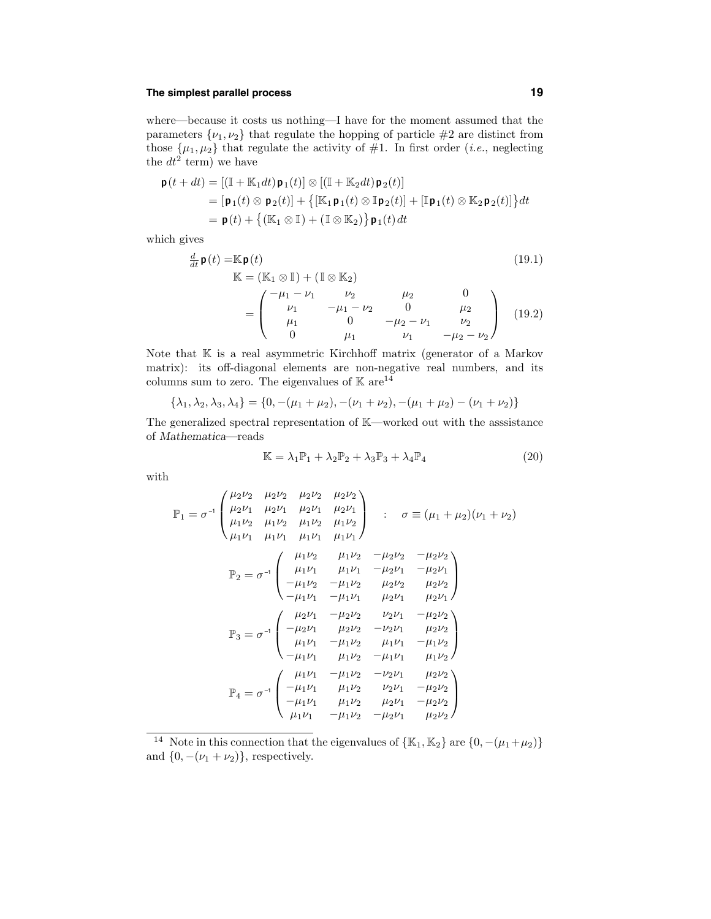## **The simplest parallel process 19**

where—because it costs us nothing—I have for the moment assumed that the parameters  $\{\nu_1, \nu_2\}$  that regulate the hopping of particle #2 are distinct from those  $\{\mu_1, \mu_2\}$  that regulate the activity of #1. In first order (*i.e.*, neglecting the  $dt^2$  term) we have

$$
\mathbf{p}(t+dt) = [(\mathbb{I} + \mathbb{K}_1 dt)\mathbf{p}_1(t)] \otimes [(\mathbb{I} + \mathbb{K}_2 dt)\mathbf{p}_2(t)]
$$
  
\n
$$
= [\mathbf{p}_1(t) \otimes \mathbf{p}_2(t)] + \{[\mathbb{K}_1 \mathbf{p}_1(t) \otimes \mathbb{I} \mathbf{p}_2(t)] + [\mathbb{I} \mathbf{p}_1(t) \otimes \mathbb{K}_2 \mathbf{p}_2(t)]\}dt
$$
  
\n
$$
= \mathbf{p}(t) + \{(\mathbb{K}_1 \otimes \mathbb{I}) + (\mathbb{I} \otimes \mathbb{K}_2)\} \mathbf{p}_1(t) dt
$$

which gives

$$
\frac{d}{dt}\mathbf{p}(t) = \mathbb{K}\mathbf{p}(t)
$$
\n
$$
\mathbb{K} = (\mathbb{K}_1 \otimes \mathbb{I}) + (\mathbb{I} \otimes \mathbb{K}_2)
$$
\n
$$
= \begin{pmatrix}\n-\mu_1 - \nu_1 & \nu_2 & \mu_2 & 0 \\
\nu_1 & -\mu_1 - \nu_2 & 0 & \mu_2 \\
\mu_1 & 0 & -\mu_2 - \nu_1 & \nu_2 \\
0 & \mu_1 & \nu_1 & -\mu_2 - \nu_2\n\end{pmatrix}
$$
\n(19.1)

Note that  $K$  is a real asymmetric Kirchhoff matrix (generator of a Markov matrix): its off-diagonal elements are non-negative real numbers, and its columns sum to zero. The eigenvalues of  $\mathbb{K}$  are<sup>14</sup>

$$
\{\lambda_1, \lambda_2, \lambda_3, \lambda_4\} = \{0, -(\mu_1 + \mu_2), -(\nu_1 + \nu_2), -(\mu_1 + \mu_2) - (\nu_1 + \nu_2)\}
$$

The generalized spectral representation of K—worked out with the asssistance of Mathematica—reads

$$
\mathbb{K} = \lambda_1 \mathbb{P}_1 + \lambda_2 \mathbb{P}_2 + \lambda_3 \mathbb{P}_3 + \lambda_4 \mathbb{P}_4 \tag{20}
$$

with

$$
\mathbb{P}_{1} = \sigma^{-1} \begin{pmatrix} \mu_{2}\nu_{2} & \mu_{2}\nu_{2} & \mu_{2}\nu_{2} \\ \mu_{2}\nu_{1} & \mu_{2}\nu_{1} & \mu_{2}\nu_{1} \\ \mu_{1}\nu_{2} & \mu_{1}\nu_{2} & \mu_{1}\nu_{2} \end{pmatrix} : \quad \sigma \equiv (\mu_{1} + \mu_{2})(\nu_{1} + \nu_{2})
$$

$$
\mathbb{P}_{2} = \sigma^{-1} \begin{pmatrix} \mu_{1}\nu_{2} & \mu_{1}\nu_{2} & \mu_{1}\nu_{2} \\ \mu_{1}\nu_{1} & \mu_{1}\nu_{1} & \mu_{1}\nu_{1} \end{pmatrix}
$$

$$
\mathbb{P}_{2} = \sigma^{-1} \begin{pmatrix} \mu_{1}\nu_{2} & \mu_{1}\nu_{2} & -\mu_{2}\nu_{2} & -\mu_{2}\nu_{2} \\ \mu_{1}\nu_{1} & \mu_{1}\nu_{1} & -\mu_{2}\nu_{1} & -\mu_{2}\nu_{1} \\ -\mu_{1}\nu_{2} & -\mu_{1}\nu_{2} & \mu_{2}\nu_{2} & \mu_{2}\nu_{2} \\ -\mu_{1}\nu_{1} & -\mu_{1}\nu_{1} & \mu_{2}\nu_{1} & \mu_{2}\nu_{1} \end{pmatrix}
$$

$$
\mathbb{P}_{3} = \sigma^{-1} \begin{pmatrix} \mu_{2}\nu_{1} & -\mu_{2}\nu_{2} & \nu_{2}\nu_{1} & -\mu_{2}\nu_{2} \\ -\mu_{2}\nu_{1} & \mu_{2}\nu_{2} & -\nu_{2}\nu_{1} & \mu_{2}\nu_{2} \\ \mu_{1}\nu_{1} & -\mu_{1}\nu_{2} & \mu_{1}\nu_{1} & -\mu_{1}\nu_{2} \\ -\mu_{1}\nu_{1} & \mu_{1}\nu_{2} & -\mu_{1}\nu_{1} & \mu_{1}\nu_{2} \end{pmatrix}
$$

$$
\mathbb{P}_{4} = \sigma^{-1} \begin{pmatrix} \mu_{1}\nu_{1} & -\mu_{1}\nu_{2} & \nu_{2}\nu_{1} & -\mu_{2}\nu_{2} \\ -\mu_{1}\nu_{1} & \mu_{1}\nu_{2} & \nu_{2}\nu_{1} & -\mu_{2}\nu_{2} \\ -\mu_{1}\nu_{1} & \mu_{1}\
$$

<sup>14</sup> Note in this connection that the eigenvalues of  $\{K_1, K_2\}$  are  $\{0, -(\mu_1 + \mu_2)\}$ and  $\{0, -(\nu_1 + \nu_2)\}\$ , respectively.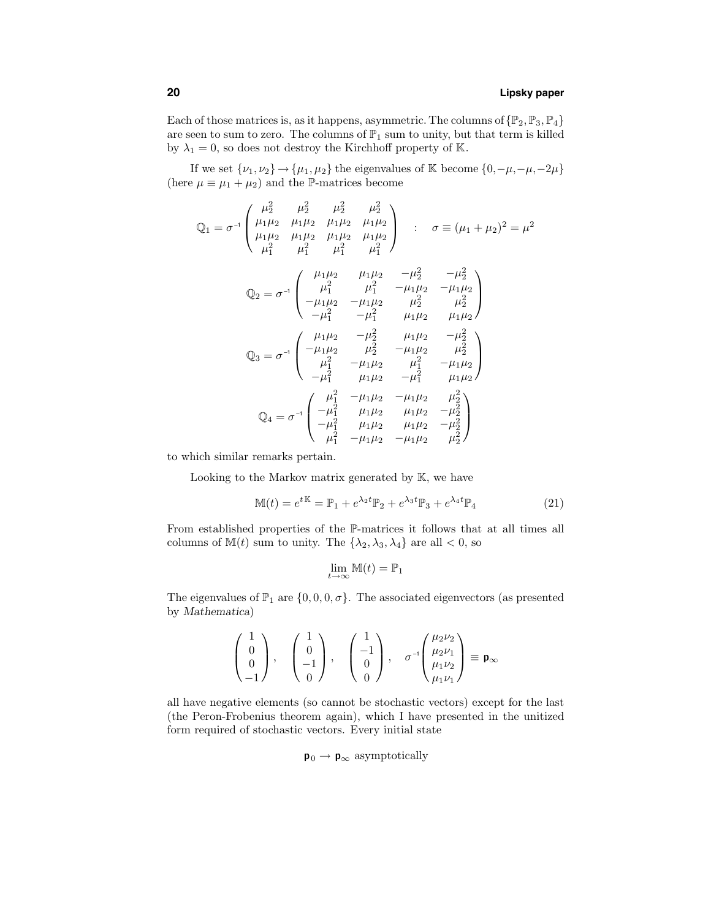## **20 Lipsky paper**

Each of those matrices is, as it happens, asymmetric. The columns of  $\{\mathbb{P}_2, \mathbb{P}_3, \mathbb{P}_4\}$ are seen to sum to zero. The columns of  $\mathbb{P}_1$  sum to unity, but that term is killed by  $\lambda_1 = 0$ , so does not destroy the Kirchhoff property of K.

If we set  $\{\nu_1, \nu_2\} \rightarrow \{\mu_1, \mu_2\}$  the eigenvalues of K become  $\{0, -\mu, -\mu, -2\mu\}$ (here  $\mu \equiv \mu_1 + \mu_2$ ) and the P-matrices become

$$
\mathbb{Q}_{1} = \sigma^{-1} \begin{pmatrix} \mu_{2}^{2} & \mu_{2}^{2} & \mu_{2}^{2} & \mu_{2}^{2} \\ \mu_{1}\mu_{2} & \mu_{1}\mu_{2} & \mu_{1}\mu_{2} & \mu_{1}\mu_{2} \\ \mu_{1}\mu_{2} & \mu_{1}\mu_{2} & \mu_{1}\mu_{2} & \mu_{1}\mu_{2} \\ \mu_{1}^{2} & \mu_{1}^{2} & \mu_{1}^{2} & \mu_{1}^{2} \end{pmatrix} : \quad \sigma \equiv (\mu_{1} + \mu_{2})^{2} = \mu^{2}
$$

$$
\mathbb{Q}_{2} = \sigma^{-1} \begin{pmatrix} \mu_{1}\mu_{2} & \mu_{1}\mu_{2} & -\mu_{2}^{2} & -\mu_{2}^{2} \\ \mu_{1}^{2} & \mu_{1}^{2} & -\mu_{1}\mu_{2} & -\mu_{1}\mu_{2} \\ -\mu_{1}\mu_{2} & -\mu_{1}\mu_{2} & \mu_{2}^{2} & \mu_{2}^{2} \\ -\mu_{1}^{2} & -\mu_{1}^{2} & \mu_{1}\mu_{2} & \mu_{1}\mu_{2} \end{pmatrix}
$$

$$
\mathbb{Q}_{3} = \sigma^{-1} \begin{pmatrix} \mu_{1}\mu_{2} & -\mu_{2}^{2} & \mu_{1}\mu_{2} & -\mu_{2}^{2} \\ -\mu_{1}\mu_{2} & \mu_{2}^{2} & -\mu_{1}\mu_{2} & \mu_{2}^{2} \\ \mu_{1}^{2} & -\mu_{1}\mu_{2} & \mu_{1}^{2} & -\mu_{1}\mu_{2} \\ -\mu_{1}^{2} & \mu_{1}\mu_{2} & -\mu_{1}^{2} & \mu_{1}\mu_{2} \end{pmatrix}
$$

$$
\mathbb{Q}_{4} = \sigma^{-1} \begin{pmatrix} \mu_{1}^{2} & -\mu_{1}\mu_{2} & \mu_{1}\mu_{2} & \mu_{2}^{2} \\ -\mu_{1}^{2} & \mu_{1}\mu_{2} & \mu_{1}\mu_{2} & -\mu_{2}^{2} \\ -\mu_{1}^{2} & \mu_{1}\mu_{2} & \mu_{1}\mu_{2} & -\mu_{2}^{2} \\ \mu_{1}^{2} & -\mu_{1}\mu_{2} & -\mu_{1}\mu_{2
$$

to which similar remarks pertain.

Looking to the Markov matrix generated by K, we have

$$
\mathbb{M}(t) = e^{t\mathbb{K}} = \mathbb{P}_1 + e^{\lambda_2 t} \mathbb{P}_2 + e^{\lambda_3 t} \mathbb{P}_3 + e^{\lambda_4 t} \mathbb{P}_4 \tag{21}
$$

From established properties of the P-matrices it follows that at all times all columns of  $M(t)$  sum to unity. The  $\{\lambda_2, \lambda_3, \lambda_4\}$  are all  $\lt 0$ , so

$$
\lim_{t \to \infty} \mathbb{M}(t) = \mathbb{P}_1
$$

The eigenvalues of  $\mathbb{P}_1$  are  $\{0,0,0,\sigma\}$ . The associated eigenvectors (as presented by Mathematica)

$$
\begin{pmatrix} 1 \\ 0 \\ 0 \\ -1 \end{pmatrix}, \quad \begin{pmatrix} 1 \\ 0 \\ -1 \\ 0 \end{pmatrix}, \quad \begin{pmatrix} 1 \\ -1 \\ 0 \\ 0 \end{pmatrix}, \quad \sigma^{-1} \begin{pmatrix} \mu_2 \nu_2 \\ \mu_2 \nu_1 \\ \mu_1 \nu_2 \\ \mu_1 \nu_1 \end{pmatrix} \equiv \mathbf{p}_{\infty}
$$

all have negative elements (so cannot be stochastic vectors) except for the last (the Peron-Frobenius theorem again), which I have presented in the unitized form required of stochastic vectors. Every initial state

 $p_0 \rightarrow p_{\infty}$  asymptotically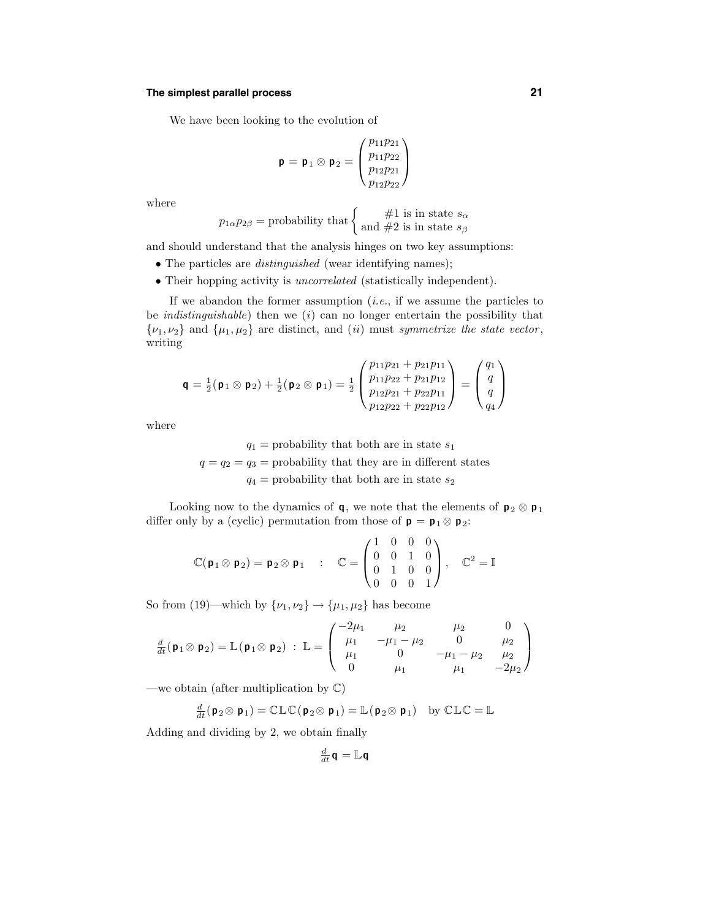## **The simplest parallel process 21**

We have been looking to the evolution of

$$
\mathbf{p} = \mathbf{p}_1 \otimes \mathbf{p}_2 = \begin{pmatrix} p_{11}p_{21} \\ p_{11}p_{22} \\ p_{12}p_{21} \\ p_{12}p_{22} \end{pmatrix}
$$

where

$$
p_{1\alpha}p_{2\beta} = \text{probability that} \begin{cases} \#1 \text{ is in state } s_{\alpha} \\ \text{and } \#2 \text{ is in state } s_{\beta} \end{cases}
$$

and should understand that the analysis hinges on two key assumptions:

- The particles are *distinguished* (wear identifying names);
- Their hopping activity is uncorrelated (statistically independent).

If we abandon the former assumption  $(i.e.,$  if we assume the particles to be *indistinguishable*) then we (*i*) can no longer entertain the possibility that  $\{\nu_1, \nu_2\}$  and  $\{\mu_1, \mu_2\}$  are distinct, and *(ii)* must symmetrize the state vector, writing

$$
\mathbf{q} = \frac{1}{2}(\mathbf{p}_1 \otimes \mathbf{p}_2) + \frac{1}{2}(\mathbf{p}_2 \otimes \mathbf{p}_1) = \frac{1}{2} \begin{pmatrix} p_{11}p_{21} + p_{21}p_{11} \\ p_{11}p_{22} + p_{21}p_{12} \\ p_{12}p_{21} + p_{22}p_{11} \\ p_{12}p_{22} + p_{22}p_{12} \end{pmatrix} = \begin{pmatrix} q_1 \\ q \\ q \\ q_4 \end{pmatrix}
$$

where

 $q_1$  = probability that both are in state  $s_1$  $q = q_2 = q_3$  = probability that they are in different states  $q_4$  = probability that both are in state  $s_2$ 

Looking now to the dynamics of **q**, we note that the elements of  $p_2 \otimes p_1$ differ only by a (cyclic) permutation from those of  $\mathbf{p} = \mathbf{p}_1 \otimes \mathbf{p}_2$ :

$$
\mathbb{C}(\mathbf{p}_1 \otimes \mathbf{p}_2) = \mathbf{p}_2 \otimes \mathbf{p}_1 \quad : \quad \mathbb{C} = \begin{pmatrix} 1 & 0 & 0 & 0 \\ 0 & 0 & 1 & 0 \\ 0 & 1 & 0 & 0 \\ 0 & 0 & 0 & 1 \end{pmatrix}, \quad \mathbb{C}^2 = \mathbb{I}
$$

So from (19)—which by  $\{\nu_1, \nu_2\} \rightarrow {\{\mu_1, \mu_2\}}$  has become

$$
\frac{d}{dt}(\mathbf{p}_1 \otimes \mathbf{p}_2) = \mathbb{L}(\mathbf{p}_1 \otimes \mathbf{p}_2) : \mathbb{L} = \begin{pmatrix} -2\mu_1 & \mu_2 & \mu_2 & 0 \\ \mu_1 & -\mu_1 - \mu_2 & 0 & \mu_2 \\ \mu_1 & 0 & -\mu_1 - \mu_2 & \mu_2 \\ 0 & \mu_1 & \mu_1 & -2\mu_2 \end{pmatrix}
$$

—we obtain (after multiplication by  $\mathbb{C}$ )

$$
\frac{d}{dt}(\mathbf{p}_2 \otimes \mathbf{p}_1) = \mathbb{CLC}(\mathbf{p}_2 \otimes \mathbf{p}_1) = \mathbb{L}(\mathbf{p}_2 \otimes \mathbf{p}_1) \text{ by } \mathbb{CLC} = \mathbb{L}
$$

Adding and dividing by 2, we obtain finally

$$
\tfrac{d}{dt}\mathbf{q} = \mathbb{L}\mathbf{q}
$$